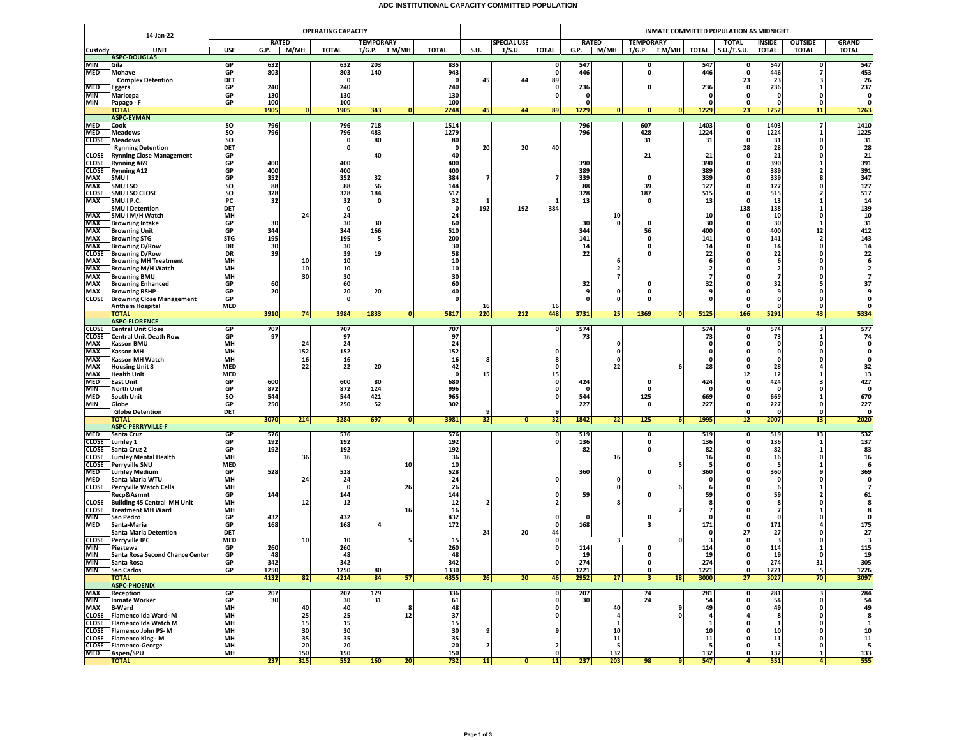## **ADC INSTITUTIONAL CAPACITY COMMITTED POPULATION**

| <b>RATED</b><br><b>TEMPORARY</b><br><b>SPECIAL USE</b><br><b>RATED</b><br><b>TEMPORARY</b><br><b>TOTAL</b><br><b>OUTSIDE</b><br>INSIDE<br>S.U./T.S.U.<br><b>TOTAL</b><br><b>TOTAL</b><br>Custody<br><b>UNIT</b><br>USE<br>G.P.<br>М/МН<br><b>TOTAL</b><br>T/G.P. TM/MH<br>TOTAL<br>S.U.<br>T/S.U.<br><b>TOTAL</b><br>G.P.<br>M/MH  <br>T/G.P.   TM/MH  <br>TOTAL<br><b>ASPC-DOUGLAS</b><br>MIN<br>Gila<br>GP<br>632<br>632<br>203<br>835<br>547<br>547<br>547<br>$\Omega$<br>0<br>0<br>803<br>803<br>140<br>943<br>446<br>446<br>446<br>MED<br>Mohave<br>GP<br>$\mathbf{0}$<br>- 0<br>DET<br>45<br>44<br>89<br>23<br>23<br><b>Complex Detention</b><br>- 0<br>- 0<br>٦<br>240<br>236<br>236<br>236<br>MED<br>GP<br>240<br>240<br>Eggers<br>- 0<br>ŋ<br>n<br>GP<br>130<br>MIN<br>Maricopa<br>130<br>130<br>o<br>$\mathbf{0}$<br>$\Omega$<br>MIN<br>GP<br>100<br>100<br>100<br>Papago - F<br>0<br>343<br>1252<br>1905<br>1905<br>2248<br>45<br>44<br>89<br>1229<br> 0 <br>1229<br>23<br>11<br><b>TOTAL</b><br> 0 <br> 0 <br> 0 <br> 0 <br><b>ASPC-EYMAN</b><br><b>MED</b><br>so<br>796<br>718<br>796<br>607<br>1403<br>1403<br>Cook<br>796<br>1514<br>$\mathbf o$<br>1224<br>SO<br>796<br>796<br>483<br>1279<br>796<br>428<br>1224<br><b>MED</b><br><b>Meadows</b><br>$\Omega$<br>-1<br>SO<br>80<br>80<br>31<br>31<br>31<br>CLOSE<br><b>Meadows</b><br>0<br>- 0<br>0<br>28<br>28<br><b>Rynning Detention</b><br>DET<br>20<br>20<br>40<br>0<br>-0<br>0<br>21<br>CLOSE<br><b>Rynning Close Management</b><br>GP<br>40<br>40<br>21<br>21<br>$\Omega$<br>400<br>400<br>390<br>390<br>CLOSE<br>GP<br>400<br>390<br><b>Rynning A69</b><br>-1<br><b>CLOSE</b><br>GP<br>400<br>400<br>400<br>389<br>389<br>389<br><b>Rynning A12</b><br>2<br>GP<br>352<br>352<br>32<br>384<br>339<br>339<br>339<br>MAX<br>SMU I<br>7<br>$\Omega$<br>n<br>127<br>SO<br>88<br>88<br>88<br>127<br>MAX<br>SMU I SO<br>56<br>144<br>39<br>515<br><b>CLOSE</b><br>SMU I SO CLOSE<br>SO<br>328<br>328<br>184<br>512<br>328<br>187<br>515<br>0<br>32<br>32<br><b>MAX</b><br>SMU I P.C.<br>PC<br>32<br>13<br>13<br>13<br>$\Omega$<br>0<br>0<br>1<br>192<br>384<br>138<br>138<br><b>SMU I Detention</b><br>DET<br>$\mathbf 0$<br>0<br>192<br><b>MAX</b><br>24<br>SMU I M/H Watch<br>MH<br>24<br>24<br>10<br>10<br>10<br>0<br>MAX<br>60<br>30<br>GP<br>30<br>30<br>30<br>30<br>30<br><b>Browning Intake</b><br>0<br>$\Omega$<br>$\Omega$<br>-1<br>344<br>510<br>400<br>400<br>12<br>MAX<br>GP<br>344<br>166<br>344<br>56<br><b>Browning Unit</b><br>195<br>195<br>200<br>141<br>141<br>141<br>MAX<br><b>Browning STG</b><br><b>STG</b><br>-5<br>0<br>$\overline{2}$<br>14<br>MAX<br><b>Browning D/Row</b><br>DR<br>30<br>30<br>30<br>14<br>14<br><b>Browning D/Row</b><br>58<br>22<br>22<br>22<br><b>CLOSE</b><br><b>DR</b><br>39<br>39<br>19<br>$\Omega$<br>10<br>MAX<br><b>Browning MH Treatment</b><br>MH<br>10<br>10<br>-6<br>10<br>MAX<br><b>Browning M/H Watch</b><br>MH<br>10<br>10<br>$\overline{\mathbf{2}}$<br>,<br>30<br>MAX<br><b>Browning BMU</b><br>MH<br>30<br>30<br>$\overline{ }$<br>7<br>MAX<br><b>Browning Enhanced</b><br>GP<br>60<br>60<br>60<br>32<br>32<br>32<br>o<br>20<br>20<br>40<br>MAX<br><b>Browning RSHP</b><br>GP<br>20<br>0<br>9<br>0<br>9<br>0<br>$\Omega$<br>CLOSE<br><b>Browning Close Management</b><br>GP<br>$\Omega$<br>O<br>$\Omega$<br>0<br>$\mathbf{0}$<br><b>Anthem Hospital</b><br><b>MED</b><br>16<br>$\mathbf{0}$<br>16<br>$\Omega$<br>3984<br>220<br>448<br>25<br><b>TOTAL</b><br>3910<br>74<br>1833<br>5817<br>212<br>3731<br>1369<br>5125<br>166<br>5291<br>43<br> 0 <br> 0 <br><b>ASPC-FLORENCE</b><br>707<br>707<br><b>CLOSE</b><br><b>GP</b><br>707<br>574<br>574<br>574<br><b>Central Unit Close</b><br>0<br>0<br>з<br>73<br>97<br>97<br>97<br>73<br>73<br><b>CLOSE</b><br>Central Unit Death Row<br>GP<br>0<br>24<br>MAX<br><b>Kasson BMU</b><br>MH<br>24<br>24<br>0<br>0<br>MAX<br>152<br>152<br>152<br><b>Kasson MH</b><br>MH<br>$\mathbf{0}$<br>0<br>$\Omega$<br>MH<br>MAX<br><b>Kasson MH Watch</b><br>16<br>16<br>16<br>$\Omega$<br>MAX<br>22<br>22<br>42<br>22<br><b>MED</b><br>20<br>28<br>28<br><b>Housing Unit 8</b><br>n<br>n<br><b>MAX</b><br><b>Health Unit</b><br><b>MED</b><br>15<br>12<br>12<br>-0<br>15<br><b>MED</b><br><b>East Unit</b><br>GP<br>600<br>600<br>80<br>680<br>424<br>424<br>424<br>0<br>0<br>996<br><b>MIN</b><br><b>North Unit</b><br>GP<br>872<br>872<br>124<br>0<br>0<br>0<br>0<br><b>MED</b><br>SO<br>544<br>544<br>421<br>965<br>544<br>125<br>669<br>669<br>South Unit<br>0<br>MIN<br>250<br>250<br>52<br>302<br>227<br>227<br>227<br>Globe<br>GP<br>$\mathbf{0}$<br>n<br>$\Omega$<br>DET<br><b>Globe Detention</b><br>9<br>$\Omega$<br>9<br>n<br>$\Omega$<br>3070<br>3284<br>697<br>32<br>1842<br>22<br>125<br>1995<br>2007<br>214<br>3981<br>32<br>6<br>12<br>13<br>ΌΤΑΙ<br> 0 <br> 0 <br><b>ASPC-PERRYVILLE-F</b><br>576<br>MED<br>GP<br>576<br>576<br>519<br>519<br>519<br>13<br>Santa Cruz<br>$\mathbf{0}$<br>$\mathbf{0}$<br>0<br>CLOSE<br>192<br>192<br>192<br>136<br>136<br>136<br>Lumley 1<br>GP<br>0<br>o<br>-1<br>192<br>192<br>82<br>CLOSE<br>Santa Cruz 2<br>GP<br>192<br>82<br>82<br>0<br>1<br>36<br>16<br><b>CLOSE</b><br><b>Lumley Mental Health</b><br>MH<br>36<br>36<br>16<br>16<br>$\Omega$<br><b>MED</b><br>10<br>10<br>CLOSE<br><b>Perryville SNU</b><br>360<br>528<br>360<br>GP<br>528<br>528<br>360<br>MED<br><b>Lumley Medium</b><br>24<br><b>MED</b><br>Santa Maria WTU<br>MH<br>24<br>24<br>0<br>0<br>$\Omega$<br>26<br><b>CLOSE</b> Perryville Watch Cells<br>MH<br>26<br>$\mathbf{0}$<br>$\mathbf{0}$<br>-6<br>144<br>Recp&Asmnt<br>GP<br>144<br>144<br>59<br>59<br>59<br>0<br>12<br>12<br><b>CLOSE</b><br>Building 45 Central MH Unit<br>MН<br>12<br>-8<br>16<br><b>CLOSE</b> Treatment MH Ward<br>MH<br>16<br>432<br>432<br><b>MIN</b><br>432<br>San Pedro<br>GP<br>0<br>n<br>172<br>MED<br>Santa-Maria<br>GP<br>168<br>168<br>168<br>171<br>171<br>0<br>3<br>44<br>27<br><b>Santa Maria Detention</b><br>DET<br>24<br>20<br>27<br><b>CLOSE</b> Perryville IPC<br><b>MED</b><br>10<br>15<br>0<br>10<br>- 3<br>MIN<br>GP<br>260<br>260<br>260<br>114<br>114<br>114<br>Piestewa<br>0<br>0<br>GP<br>48<br>48<br>19<br>19<br>MIN<br>Santa Rosa Second Chance Center<br>48<br>19<br>$\mathbf{0}$<br>$\Omega$<br>0<br>274<br>274<br>342<br>342<br>342<br>274<br>GP<br>31<br>MIN<br>Santa Rosa<br>$\mathbf{0}$<br>1221<br>MIN<br><b>San Carlos</b><br>GP<br>1250<br>1250<br>80<br>1330<br>1221<br>1221<br>$\mathbf{0}$<br>5<br>$\mathbf{0}$<br>3027<br>4132<br>84<br>26<br>20<br>2952<br>27<br>3000<br>70<br><b>TOTAL</b><br>82<br>4214<br>57<br>4355<br>46<br>3 <sup>1</sup><br>18<br>27<br><b>ASPC-PHOENIX</b><br>GP<br>MAX<br>Reception<br>207<br>207<br>129<br>336<br>207<br>281<br>74<br>281<br>o<br>з<br>MIN<br>GP<br>30<br>30<br>31<br>61<br>30<br>24<br>54<br>54<br><b>Inmate Worker</b><br>o<br>$\Omega$<br>48<br>40<br>40<br>40<br>49<br>49<br><b>MAX</b><br><b>B-Ward</b><br>MH<br>9<br>8<br>0<br>0<br>0<br>25<br>12<br>37<br>CLOSE Flamenco Ida Ward-M<br>MH<br>25<br>4<br>0<br>Я<br><b>CLOSE</b> Flamenco Ida Watch M<br>15<br>MH<br>15<br>15<br>$\mathbf{1}$<br>CLOSE Flamenco John PS-M<br>MH<br>30<br>30<br>30<br>10<br>10<br>9<br>9<br>10<br>$\Omega$<br>35<br>35<br><b>CLOSE</b> Flamenco King - M<br>MH<br>35<br>11<br>${\bf 11}$<br>11<br>$\Omega$<br>20<br>CLOSE Flamenco-George<br>20<br>20<br>$\overline{\mathbf{2}}$<br>5<br>MH<br>5<br>-5<br>$\Omega$<br>2<br>n<br>Aspen/SPU<br>132<br>132<br>132<br>MED<br>MH<br>150<br>150<br>150<br>o<br>$\Omega$<br>$\mathbf{1}$<br>237<br>237<br><b>TOTAL</b><br>315<br>552<br>160<br>20 <sup>1</sup><br>732<br>11<br>$\overline{0}$<br>11<br>203<br>98<br>547<br>551<br>4 <sup>1</sup><br>9<br>41 |           |  | <b>OPERATING CAPACITY</b> |  |  |  |  |  |  |  |  |  | INMATE COMMITTED POPULATION AS MIDNIGHT |  |  |  |  |  |  |                |  |  |
|-----------------------------------------------------------------------------------------------------------------------------------------------------------------------------------------------------------------------------------------------------------------------------------------------------------------------------------------------------------------------------------------------------------------------------------------------------------------------------------------------------------------------------------------------------------------------------------------------------------------------------------------------------------------------------------------------------------------------------------------------------------------------------------------------------------------------------------------------------------------------------------------------------------------------------------------------------------------------------------------------------------------------------------------------------------------------------------------------------------------------------------------------------------------------------------------------------------------------------------------------------------------------------------------------------------------------------------------------------------------------------------------------------------------------------------------------------------------------------------------------------------------------------------------------------------------------------------------------------------------------------------------------------------------------------------------------------------------------------------------------------------------------------------------------------------------------------------------------------------------------------------------------------------------------------------------------------------------------------------------------------------------------------------------------------------------------------------------------------------------------------------------------------------------------------------------------------------------------------------------------------------------------------------------------------------------------------------------------------------------------------------------------------------------------------------------------------------------------------------------------------------------------------------------------------------------------------------------------------------------------------------------------------------------------------------------------------------------------------------------------------------------------------------------------------------------------------------------------------------------------------------------------------------------------------------------------------------------------------------------------------------------------------------------------------------------------------------------------------------------------------------------------------------------------------------------------------------------------------------------------------------------------------------------------------------------------------------------------------------------------------------------------------------------------------------------------------------------------------------------------------------------------------------------------------------------------------------------------------------------------------------------------------------------------------------------------------------------------------------------------------------------------------------------------------------------------------------------------------------------------------------------------------------------------------------------------------------------------------------------------------------------------------------------------------------------------------------------------------------------------------------------------------------------------------------------------------------------------------------------------------------------------------------------------------------------------------------------------------------------------------------------------------------------------------------------------------------------------------------------------------------------------------------------------------------------------------------------------------------------------------------------------------------------------------------------------------------------------------------------------------------------------------------------------------------------------------------------------------------------------------------------------------------------------------------------------------------------------------------------------------------------------------------------------------------------------------------------------------------------------------------------------------------------------------------------------------------------------------------------------------------------------------------------------------------------------------------------------------------------------------------------------------------------------------------------------------------------------------------------------------------------------------------------------------------------------------------------------------------------------------------------------------------------------------------------------------------------------------------------------------------------------------------------------------------------------------------------------------------------------------------------------------------------------------------------------------------------------------------------------------------------------------------------------------------------------------------------------------------------------------------------------------------------------------------------------------------------------------------------------------------------------------------------------------------------------------------------------------------------------------------------------------------------------------------------------------------------------------------------------------------------------------------------------------------------------------------------------------------------------------------------------------------------------------------------------------------------------------------------------------------------------------------------------------------------------------------------------------------------------------------------------------------------------------------------------------------------------------------------------------------------------------------------------------------------------------------------------------------------------------------------------------------------------------------------------------------------------------------------------------------------------------------------------------------------------------------------------------------------------------------------------------------------------------------------------------------------------------------------------------------------------------------------------------------------------------------------------------------------------------------------------------------------------------------------------------------------------------------------------|-----------|--|---------------------------|--|--|--|--|--|--|--|--|--|-----------------------------------------|--|--|--|--|--|--|----------------|--|--|
|                                                                                                                                                                                                                                                                                                                                                                                                                                                                                                                                                                                                                                                                                                                                                                                                                                                                                                                                                                                                                                                                                                                                                                                                                                                                                                                                                                                                                                                                                                                                                                                                                                                                                                                                                                                                                                                                                                                                                                                                                                                                                                                                                                                                                                                                                                                                                                                                                                                                                                                                                                                                                                                                                                                                                                                                                                                                                                                                                                                                                                                                                                                                                                                                                                                                                                                                                                                                                                                                                                                                                                                                                                                                                                                                                                                                                                                                                                                                                                                                                                                                                                                                                                                                                                                                                                                                                                                                                                                                                                                                                                                                                                                                                                                                                                                                                                                                                                                                                                                                                                                                                                                                                                                                                                                                                                                                                                                                                                                                                                                                                                                                                                                                                                                                                                                                                                                                                                                                                                                                                                                                                                                                                                                                                                                                                                                                                                                                                                                                                                                                                                                                                                                                                                                                                                                                                                                                                                                                                                                                                                                                                                                                                                                                                                                                                                                                                                                                                                                                                                                                                                                                                                                                                                                                               | 14-Jan-22 |  |                           |  |  |  |  |  |  |  |  |  |                                         |  |  |  |  |  |  | <b>GRAND</b>   |  |  |
|                                                                                                                                                                                                                                                                                                                                                                                                                                                                                                                                                                                                                                                                                                                                                                                                                                                                                                                                                                                                                                                                                                                                                                                                                                                                                                                                                                                                                                                                                                                                                                                                                                                                                                                                                                                                                                                                                                                                                                                                                                                                                                                                                                                                                                                                                                                                                                                                                                                                                                                                                                                                                                                                                                                                                                                                                                                                                                                                                                                                                                                                                                                                                                                                                                                                                                                                                                                                                                                                                                                                                                                                                                                                                                                                                                                                                                                                                                                                                                                                                                                                                                                                                                                                                                                                                                                                                                                                                                                                                                                                                                                                                                                                                                                                                                                                                                                                                                                                                                                                                                                                                                                                                                                                                                                                                                                                                                                                                                                                                                                                                                                                                                                                                                                                                                                                                                                                                                                                                                                                                                                                                                                                                                                                                                                                                                                                                                                                                                                                                                                                                                                                                                                                                                                                                                                                                                                                                                                                                                                                                                                                                                                                                                                                                                                                                                                                                                                                                                                                                                                                                                                                                                                                                                                                               |           |  |                           |  |  |  |  |  |  |  |  |  |                                         |  |  |  |  |  |  | <b>TOTAL</b>   |  |  |
|                                                                                                                                                                                                                                                                                                                                                                                                                                                                                                                                                                                                                                                                                                                                                                                                                                                                                                                                                                                                                                                                                                                                                                                                                                                                                                                                                                                                                                                                                                                                                                                                                                                                                                                                                                                                                                                                                                                                                                                                                                                                                                                                                                                                                                                                                                                                                                                                                                                                                                                                                                                                                                                                                                                                                                                                                                                                                                                                                                                                                                                                                                                                                                                                                                                                                                                                                                                                                                                                                                                                                                                                                                                                                                                                                                                                                                                                                                                                                                                                                                                                                                                                                                                                                                                                                                                                                                                                                                                                                                                                                                                                                                                                                                                                                                                                                                                                                                                                                                                                                                                                                                                                                                                                                                                                                                                                                                                                                                                                                                                                                                                                                                                                                                                                                                                                                                                                                                                                                                                                                                                                                                                                                                                                                                                                                                                                                                                                                                                                                                                                                                                                                                                                                                                                                                                                                                                                                                                                                                                                                                                                                                                                                                                                                                                                                                                                                                                                                                                                                                                                                                                                                                                                                                                                               |           |  |                           |  |  |  |  |  |  |  |  |  |                                         |  |  |  |  |  |  |                |  |  |
|                                                                                                                                                                                                                                                                                                                                                                                                                                                                                                                                                                                                                                                                                                                                                                                                                                                                                                                                                                                                                                                                                                                                                                                                                                                                                                                                                                                                                                                                                                                                                                                                                                                                                                                                                                                                                                                                                                                                                                                                                                                                                                                                                                                                                                                                                                                                                                                                                                                                                                                                                                                                                                                                                                                                                                                                                                                                                                                                                                                                                                                                                                                                                                                                                                                                                                                                                                                                                                                                                                                                                                                                                                                                                                                                                                                                                                                                                                                                                                                                                                                                                                                                                                                                                                                                                                                                                                                                                                                                                                                                                                                                                                                                                                                                                                                                                                                                                                                                                                                                                                                                                                                                                                                                                                                                                                                                                                                                                                                                                                                                                                                                                                                                                                                                                                                                                                                                                                                                                                                                                                                                                                                                                                                                                                                                                                                                                                                                                                                                                                                                                                                                                                                                                                                                                                                                                                                                                                                                                                                                                                                                                                                                                                                                                                                                                                                                                                                                                                                                                                                                                                                                                                                                                                                                               |           |  |                           |  |  |  |  |  |  |  |  |  |                                         |  |  |  |  |  |  | 547<br>453     |  |  |
|                                                                                                                                                                                                                                                                                                                                                                                                                                                                                                                                                                                                                                                                                                                                                                                                                                                                                                                                                                                                                                                                                                                                                                                                                                                                                                                                                                                                                                                                                                                                                                                                                                                                                                                                                                                                                                                                                                                                                                                                                                                                                                                                                                                                                                                                                                                                                                                                                                                                                                                                                                                                                                                                                                                                                                                                                                                                                                                                                                                                                                                                                                                                                                                                                                                                                                                                                                                                                                                                                                                                                                                                                                                                                                                                                                                                                                                                                                                                                                                                                                                                                                                                                                                                                                                                                                                                                                                                                                                                                                                                                                                                                                                                                                                                                                                                                                                                                                                                                                                                                                                                                                                                                                                                                                                                                                                                                                                                                                                                                                                                                                                                                                                                                                                                                                                                                                                                                                                                                                                                                                                                                                                                                                                                                                                                                                                                                                                                                                                                                                                                                                                                                                                                                                                                                                                                                                                                                                                                                                                                                                                                                                                                                                                                                                                                                                                                                                                                                                                                                                                                                                                                                                                                                                                                               |           |  |                           |  |  |  |  |  |  |  |  |  |                                         |  |  |  |  |  |  | 26             |  |  |
|                                                                                                                                                                                                                                                                                                                                                                                                                                                                                                                                                                                                                                                                                                                                                                                                                                                                                                                                                                                                                                                                                                                                                                                                                                                                                                                                                                                                                                                                                                                                                                                                                                                                                                                                                                                                                                                                                                                                                                                                                                                                                                                                                                                                                                                                                                                                                                                                                                                                                                                                                                                                                                                                                                                                                                                                                                                                                                                                                                                                                                                                                                                                                                                                                                                                                                                                                                                                                                                                                                                                                                                                                                                                                                                                                                                                                                                                                                                                                                                                                                                                                                                                                                                                                                                                                                                                                                                                                                                                                                                                                                                                                                                                                                                                                                                                                                                                                                                                                                                                                                                                                                                                                                                                                                                                                                                                                                                                                                                                                                                                                                                                                                                                                                                                                                                                                                                                                                                                                                                                                                                                                                                                                                                                                                                                                                                                                                                                                                                                                                                                                                                                                                                                                                                                                                                                                                                                                                                                                                                                                                                                                                                                                                                                                                                                                                                                                                                                                                                                                                                                                                                                                                                                                                                                               |           |  |                           |  |  |  |  |  |  |  |  |  |                                         |  |  |  |  |  |  | 237            |  |  |
|                                                                                                                                                                                                                                                                                                                                                                                                                                                                                                                                                                                                                                                                                                                                                                                                                                                                                                                                                                                                                                                                                                                                                                                                                                                                                                                                                                                                                                                                                                                                                                                                                                                                                                                                                                                                                                                                                                                                                                                                                                                                                                                                                                                                                                                                                                                                                                                                                                                                                                                                                                                                                                                                                                                                                                                                                                                                                                                                                                                                                                                                                                                                                                                                                                                                                                                                                                                                                                                                                                                                                                                                                                                                                                                                                                                                                                                                                                                                                                                                                                                                                                                                                                                                                                                                                                                                                                                                                                                                                                                                                                                                                                                                                                                                                                                                                                                                                                                                                                                                                                                                                                                                                                                                                                                                                                                                                                                                                                                                                                                                                                                                                                                                                                                                                                                                                                                                                                                                                                                                                                                                                                                                                                                                                                                                                                                                                                                                                                                                                                                                                                                                                                                                                                                                                                                                                                                                                                                                                                                                                                                                                                                                                                                                                                                                                                                                                                                                                                                                                                                                                                                                                                                                                                                                               |           |  |                           |  |  |  |  |  |  |  |  |  |                                         |  |  |  |  |  |  | $\mathbf{0}$   |  |  |
|                                                                                                                                                                                                                                                                                                                                                                                                                                                                                                                                                                                                                                                                                                                                                                                                                                                                                                                                                                                                                                                                                                                                                                                                                                                                                                                                                                                                                                                                                                                                                                                                                                                                                                                                                                                                                                                                                                                                                                                                                                                                                                                                                                                                                                                                                                                                                                                                                                                                                                                                                                                                                                                                                                                                                                                                                                                                                                                                                                                                                                                                                                                                                                                                                                                                                                                                                                                                                                                                                                                                                                                                                                                                                                                                                                                                                                                                                                                                                                                                                                                                                                                                                                                                                                                                                                                                                                                                                                                                                                                                                                                                                                                                                                                                                                                                                                                                                                                                                                                                                                                                                                                                                                                                                                                                                                                                                                                                                                                                                                                                                                                                                                                                                                                                                                                                                                                                                                                                                                                                                                                                                                                                                                                                                                                                                                                                                                                                                                                                                                                                                                                                                                                                                                                                                                                                                                                                                                                                                                                                                                                                                                                                                                                                                                                                                                                                                                                                                                                                                                                                                                                                                                                                                                                                               |           |  |                           |  |  |  |  |  |  |  |  |  |                                         |  |  |  |  |  |  | 1263           |  |  |
|                                                                                                                                                                                                                                                                                                                                                                                                                                                                                                                                                                                                                                                                                                                                                                                                                                                                                                                                                                                                                                                                                                                                                                                                                                                                                                                                                                                                                                                                                                                                                                                                                                                                                                                                                                                                                                                                                                                                                                                                                                                                                                                                                                                                                                                                                                                                                                                                                                                                                                                                                                                                                                                                                                                                                                                                                                                                                                                                                                                                                                                                                                                                                                                                                                                                                                                                                                                                                                                                                                                                                                                                                                                                                                                                                                                                                                                                                                                                                                                                                                                                                                                                                                                                                                                                                                                                                                                                                                                                                                                                                                                                                                                                                                                                                                                                                                                                                                                                                                                                                                                                                                                                                                                                                                                                                                                                                                                                                                                                                                                                                                                                                                                                                                                                                                                                                                                                                                                                                                                                                                                                                                                                                                                                                                                                                                                                                                                                                                                                                                                                                                                                                                                                                                                                                                                                                                                                                                                                                                                                                                                                                                                                                                                                                                                                                                                                                                                                                                                                                                                                                                                                                                                                                                                                               |           |  |                           |  |  |  |  |  |  |  |  |  |                                         |  |  |  |  |  |  |                |  |  |
|                                                                                                                                                                                                                                                                                                                                                                                                                                                                                                                                                                                                                                                                                                                                                                                                                                                                                                                                                                                                                                                                                                                                                                                                                                                                                                                                                                                                                                                                                                                                                                                                                                                                                                                                                                                                                                                                                                                                                                                                                                                                                                                                                                                                                                                                                                                                                                                                                                                                                                                                                                                                                                                                                                                                                                                                                                                                                                                                                                                                                                                                                                                                                                                                                                                                                                                                                                                                                                                                                                                                                                                                                                                                                                                                                                                                                                                                                                                                                                                                                                                                                                                                                                                                                                                                                                                                                                                                                                                                                                                                                                                                                                                                                                                                                                                                                                                                                                                                                                                                                                                                                                                                                                                                                                                                                                                                                                                                                                                                                                                                                                                                                                                                                                                                                                                                                                                                                                                                                                                                                                                                                                                                                                                                                                                                                                                                                                                                                                                                                                                                                                                                                                                                                                                                                                                                                                                                                                                                                                                                                                                                                                                                                                                                                                                                                                                                                                                                                                                                                                                                                                                                                                                                                                                                               |           |  |                           |  |  |  |  |  |  |  |  |  |                                         |  |  |  |  |  |  | 1410           |  |  |
|                                                                                                                                                                                                                                                                                                                                                                                                                                                                                                                                                                                                                                                                                                                                                                                                                                                                                                                                                                                                                                                                                                                                                                                                                                                                                                                                                                                                                                                                                                                                                                                                                                                                                                                                                                                                                                                                                                                                                                                                                                                                                                                                                                                                                                                                                                                                                                                                                                                                                                                                                                                                                                                                                                                                                                                                                                                                                                                                                                                                                                                                                                                                                                                                                                                                                                                                                                                                                                                                                                                                                                                                                                                                                                                                                                                                                                                                                                                                                                                                                                                                                                                                                                                                                                                                                                                                                                                                                                                                                                                                                                                                                                                                                                                                                                                                                                                                                                                                                                                                                                                                                                                                                                                                                                                                                                                                                                                                                                                                                                                                                                                                                                                                                                                                                                                                                                                                                                                                                                                                                                                                                                                                                                                                                                                                                                                                                                                                                                                                                                                                                                                                                                                                                                                                                                                                                                                                                                                                                                                                                                                                                                                                                                                                                                                                                                                                                                                                                                                                                                                                                                                                                                                                                                                                               |           |  |                           |  |  |  |  |  |  |  |  |  |                                         |  |  |  |  |  |  | 1225<br>31     |  |  |
|                                                                                                                                                                                                                                                                                                                                                                                                                                                                                                                                                                                                                                                                                                                                                                                                                                                                                                                                                                                                                                                                                                                                                                                                                                                                                                                                                                                                                                                                                                                                                                                                                                                                                                                                                                                                                                                                                                                                                                                                                                                                                                                                                                                                                                                                                                                                                                                                                                                                                                                                                                                                                                                                                                                                                                                                                                                                                                                                                                                                                                                                                                                                                                                                                                                                                                                                                                                                                                                                                                                                                                                                                                                                                                                                                                                                                                                                                                                                                                                                                                                                                                                                                                                                                                                                                                                                                                                                                                                                                                                                                                                                                                                                                                                                                                                                                                                                                                                                                                                                                                                                                                                                                                                                                                                                                                                                                                                                                                                                                                                                                                                                                                                                                                                                                                                                                                                                                                                                                                                                                                                                                                                                                                                                                                                                                                                                                                                                                                                                                                                                                                                                                                                                                                                                                                                                                                                                                                                                                                                                                                                                                                                                                                                                                                                                                                                                                                                                                                                                                                                                                                                                                                                                                                                                               |           |  |                           |  |  |  |  |  |  |  |  |  |                                         |  |  |  |  |  |  | 28             |  |  |
|                                                                                                                                                                                                                                                                                                                                                                                                                                                                                                                                                                                                                                                                                                                                                                                                                                                                                                                                                                                                                                                                                                                                                                                                                                                                                                                                                                                                                                                                                                                                                                                                                                                                                                                                                                                                                                                                                                                                                                                                                                                                                                                                                                                                                                                                                                                                                                                                                                                                                                                                                                                                                                                                                                                                                                                                                                                                                                                                                                                                                                                                                                                                                                                                                                                                                                                                                                                                                                                                                                                                                                                                                                                                                                                                                                                                                                                                                                                                                                                                                                                                                                                                                                                                                                                                                                                                                                                                                                                                                                                                                                                                                                                                                                                                                                                                                                                                                                                                                                                                                                                                                                                                                                                                                                                                                                                                                                                                                                                                                                                                                                                                                                                                                                                                                                                                                                                                                                                                                                                                                                                                                                                                                                                                                                                                                                                                                                                                                                                                                                                                                                                                                                                                                                                                                                                                                                                                                                                                                                                                                                                                                                                                                                                                                                                                                                                                                                                                                                                                                                                                                                                                                                                                                                                                               |           |  |                           |  |  |  |  |  |  |  |  |  |                                         |  |  |  |  |  |  | 21             |  |  |
|                                                                                                                                                                                                                                                                                                                                                                                                                                                                                                                                                                                                                                                                                                                                                                                                                                                                                                                                                                                                                                                                                                                                                                                                                                                                                                                                                                                                                                                                                                                                                                                                                                                                                                                                                                                                                                                                                                                                                                                                                                                                                                                                                                                                                                                                                                                                                                                                                                                                                                                                                                                                                                                                                                                                                                                                                                                                                                                                                                                                                                                                                                                                                                                                                                                                                                                                                                                                                                                                                                                                                                                                                                                                                                                                                                                                                                                                                                                                                                                                                                                                                                                                                                                                                                                                                                                                                                                                                                                                                                                                                                                                                                                                                                                                                                                                                                                                                                                                                                                                                                                                                                                                                                                                                                                                                                                                                                                                                                                                                                                                                                                                                                                                                                                                                                                                                                                                                                                                                                                                                                                                                                                                                                                                                                                                                                                                                                                                                                                                                                                                                                                                                                                                                                                                                                                                                                                                                                                                                                                                                                                                                                                                                                                                                                                                                                                                                                                                                                                                                                                                                                                                                                                                                                                                               |           |  |                           |  |  |  |  |  |  |  |  |  |                                         |  |  |  |  |  |  | 391            |  |  |
|                                                                                                                                                                                                                                                                                                                                                                                                                                                                                                                                                                                                                                                                                                                                                                                                                                                                                                                                                                                                                                                                                                                                                                                                                                                                                                                                                                                                                                                                                                                                                                                                                                                                                                                                                                                                                                                                                                                                                                                                                                                                                                                                                                                                                                                                                                                                                                                                                                                                                                                                                                                                                                                                                                                                                                                                                                                                                                                                                                                                                                                                                                                                                                                                                                                                                                                                                                                                                                                                                                                                                                                                                                                                                                                                                                                                                                                                                                                                                                                                                                                                                                                                                                                                                                                                                                                                                                                                                                                                                                                                                                                                                                                                                                                                                                                                                                                                                                                                                                                                                                                                                                                                                                                                                                                                                                                                                                                                                                                                                                                                                                                                                                                                                                                                                                                                                                                                                                                                                                                                                                                                                                                                                                                                                                                                                                                                                                                                                                                                                                                                                                                                                                                                                                                                                                                                                                                                                                                                                                                                                                                                                                                                                                                                                                                                                                                                                                                                                                                                                                                                                                                                                                                                                                                                               |           |  |                           |  |  |  |  |  |  |  |  |  |                                         |  |  |  |  |  |  | 391<br>347     |  |  |
|                                                                                                                                                                                                                                                                                                                                                                                                                                                                                                                                                                                                                                                                                                                                                                                                                                                                                                                                                                                                                                                                                                                                                                                                                                                                                                                                                                                                                                                                                                                                                                                                                                                                                                                                                                                                                                                                                                                                                                                                                                                                                                                                                                                                                                                                                                                                                                                                                                                                                                                                                                                                                                                                                                                                                                                                                                                                                                                                                                                                                                                                                                                                                                                                                                                                                                                                                                                                                                                                                                                                                                                                                                                                                                                                                                                                                                                                                                                                                                                                                                                                                                                                                                                                                                                                                                                                                                                                                                                                                                                                                                                                                                                                                                                                                                                                                                                                                                                                                                                                                                                                                                                                                                                                                                                                                                                                                                                                                                                                                                                                                                                                                                                                                                                                                                                                                                                                                                                                                                                                                                                                                                                                                                                                                                                                                                                                                                                                                                                                                                                                                                                                                                                                                                                                                                                                                                                                                                                                                                                                                                                                                                                                                                                                                                                                                                                                                                                                                                                                                                                                                                                                                                                                                                                                               |           |  |                           |  |  |  |  |  |  |  |  |  |                                         |  |  |  |  |  |  | 127            |  |  |
|                                                                                                                                                                                                                                                                                                                                                                                                                                                                                                                                                                                                                                                                                                                                                                                                                                                                                                                                                                                                                                                                                                                                                                                                                                                                                                                                                                                                                                                                                                                                                                                                                                                                                                                                                                                                                                                                                                                                                                                                                                                                                                                                                                                                                                                                                                                                                                                                                                                                                                                                                                                                                                                                                                                                                                                                                                                                                                                                                                                                                                                                                                                                                                                                                                                                                                                                                                                                                                                                                                                                                                                                                                                                                                                                                                                                                                                                                                                                                                                                                                                                                                                                                                                                                                                                                                                                                                                                                                                                                                                                                                                                                                                                                                                                                                                                                                                                                                                                                                                                                                                                                                                                                                                                                                                                                                                                                                                                                                                                                                                                                                                                                                                                                                                                                                                                                                                                                                                                                                                                                                                                                                                                                                                                                                                                                                                                                                                                                                                                                                                                                                                                                                                                                                                                                                                                                                                                                                                                                                                                                                                                                                                                                                                                                                                                                                                                                                                                                                                                                                                                                                                                                                                                                                                                               |           |  |                           |  |  |  |  |  |  |  |  |  |                                         |  |  |  |  |  |  | 517            |  |  |
|                                                                                                                                                                                                                                                                                                                                                                                                                                                                                                                                                                                                                                                                                                                                                                                                                                                                                                                                                                                                                                                                                                                                                                                                                                                                                                                                                                                                                                                                                                                                                                                                                                                                                                                                                                                                                                                                                                                                                                                                                                                                                                                                                                                                                                                                                                                                                                                                                                                                                                                                                                                                                                                                                                                                                                                                                                                                                                                                                                                                                                                                                                                                                                                                                                                                                                                                                                                                                                                                                                                                                                                                                                                                                                                                                                                                                                                                                                                                                                                                                                                                                                                                                                                                                                                                                                                                                                                                                                                                                                                                                                                                                                                                                                                                                                                                                                                                                                                                                                                                                                                                                                                                                                                                                                                                                                                                                                                                                                                                                                                                                                                                                                                                                                                                                                                                                                                                                                                                                                                                                                                                                                                                                                                                                                                                                                                                                                                                                                                                                                                                                                                                                                                                                                                                                                                                                                                                                                                                                                                                                                                                                                                                                                                                                                                                                                                                                                                                                                                                                                                                                                                                                                                                                                                                               |           |  |                           |  |  |  |  |  |  |  |  |  |                                         |  |  |  |  |  |  | 14             |  |  |
|                                                                                                                                                                                                                                                                                                                                                                                                                                                                                                                                                                                                                                                                                                                                                                                                                                                                                                                                                                                                                                                                                                                                                                                                                                                                                                                                                                                                                                                                                                                                                                                                                                                                                                                                                                                                                                                                                                                                                                                                                                                                                                                                                                                                                                                                                                                                                                                                                                                                                                                                                                                                                                                                                                                                                                                                                                                                                                                                                                                                                                                                                                                                                                                                                                                                                                                                                                                                                                                                                                                                                                                                                                                                                                                                                                                                                                                                                                                                                                                                                                                                                                                                                                                                                                                                                                                                                                                                                                                                                                                                                                                                                                                                                                                                                                                                                                                                                                                                                                                                                                                                                                                                                                                                                                                                                                                                                                                                                                                                                                                                                                                                                                                                                                                                                                                                                                                                                                                                                                                                                                                                                                                                                                                                                                                                                                                                                                                                                                                                                                                                                                                                                                                                                                                                                                                                                                                                                                                                                                                                                                                                                                                                                                                                                                                                                                                                                                                                                                                                                                                                                                                                                                                                                                                                               |           |  |                           |  |  |  |  |  |  |  |  |  |                                         |  |  |  |  |  |  | 139<br>10      |  |  |
|                                                                                                                                                                                                                                                                                                                                                                                                                                                                                                                                                                                                                                                                                                                                                                                                                                                                                                                                                                                                                                                                                                                                                                                                                                                                                                                                                                                                                                                                                                                                                                                                                                                                                                                                                                                                                                                                                                                                                                                                                                                                                                                                                                                                                                                                                                                                                                                                                                                                                                                                                                                                                                                                                                                                                                                                                                                                                                                                                                                                                                                                                                                                                                                                                                                                                                                                                                                                                                                                                                                                                                                                                                                                                                                                                                                                                                                                                                                                                                                                                                                                                                                                                                                                                                                                                                                                                                                                                                                                                                                                                                                                                                                                                                                                                                                                                                                                                                                                                                                                                                                                                                                                                                                                                                                                                                                                                                                                                                                                                                                                                                                                                                                                                                                                                                                                                                                                                                                                                                                                                                                                                                                                                                                                                                                                                                                                                                                                                                                                                                                                                                                                                                                                                                                                                                                                                                                                                                                                                                                                                                                                                                                                                                                                                                                                                                                                                                                                                                                                                                                                                                                                                                                                                                                                               |           |  |                           |  |  |  |  |  |  |  |  |  |                                         |  |  |  |  |  |  | 31             |  |  |
|                                                                                                                                                                                                                                                                                                                                                                                                                                                                                                                                                                                                                                                                                                                                                                                                                                                                                                                                                                                                                                                                                                                                                                                                                                                                                                                                                                                                                                                                                                                                                                                                                                                                                                                                                                                                                                                                                                                                                                                                                                                                                                                                                                                                                                                                                                                                                                                                                                                                                                                                                                                                                                                                                                                                                                                                                                                                                                                                                                                                                                                                                                                                                                                                                                                                                                                                                                                                                                                                                                                                                                                                                                                                                                                                                                                                                                                                                                                                                                                                                                                                                                                                                                                                                                                                                                                                                                                                                                                                                                                                                                                                                                                                                                                                                                                                                                                                                                                                                                                                                                                                                                                                                                                                                                                                                                                                                                                                                                                                                                                                                                                                                                                                                                                                                                                                                                                                                                                                                                                                                                                                                                                                                                                                                                                                                                                                                                                                                                                                                                                                                                                                                                                                                                                                                                                                                                                                                                                                                                                                                                                                                                                                                                                                                                                                                                                                                                                                                                                                                                                                                                                                                                                                                                                                               |           |  |                           |  |  |  |  |  |  |  |  |  |                                         |  |  |  |  |  |  | 412            |  |  |
|                                                                                                                                                                                                                                                                                                                                                                                                                                                                                                                                                                                                                                                                                                                                                                                                                                                                                                                                                                                                                                                                                                                                                                                                                                                                                                                                                                                                                                                                                                                                                                                                                                                                                                                                                                                                                                                                                                                                                                                                                                                                                                                                                                                                                                                                                                                                                                                                                                                                                                                                                                                                                                                                                                                                                                                                                                                                                                                                                                                                                                                                                                                                                                                                                                                                                                                                                                                                                                                                                                                                                                                                                                                                                                                                                                                                                                                                                                                                                                                                                                                                                                                                                                                                                                                                                                                                                                                                                                                                                                                                                                                                                                                                                                                                                                                                                                                                                                                                                                                                                                                                                                                                                                                                                                                                                                                                                                                                                                                                                                                                                                                                                                                                                                                                                                                                                                                                                                                                                                                                                                                                                                                                                                                                                                                                                                                                                                                                                                                                                                                                                                                                                                                                                                                                                                                                                                                                                                                                                                                                                                                                                                                                                                                                                                                                                                                                                                                                                                                                                                                                                                                                                                                                                                                                               |           |  |                           |  |  |  |  |  |  |  |  |  |                                         |  |  |  |  |  |  | 143            |  |  |
|                                                                                                                                                                                                                                                                                                                                                                                                                                                                                                                                                                                                                                                                                                                                                                                                                                                                                                                                                                                                                                                                                                                                                                                                                                                                                                                                                                                                                                                                                                                                                                                                                                                                                                                                                                                                                                                                                                                                                                                                                                                                                                                                                                                                                                                                                                                                                                                                                                                                                                                                                                                                                                                                                                                                                                                                                                                                                                                                                                                                                                                                                                                                                                                                                                                                                                                                                                                                                                                                                                                                                                                                                                                                                                                                                                                                                                                                                                                                                                                                                                                                                                                                                                                                                                                                                                                                                                                                                                                                                                                                                                                                                                                                                                                                                                                                                                                                                                                                                                                                                                                                                                                                                                                                                                                                                                                                                                                                                                                                                                                                                                                                                                                                                                                                                                                                                                                                                                                                                                                                                                                                                                                                                                                                                                                                                                                                                                                                                                                                                                                                                                                                                                                                                                                                                                                                                                                                                                                                                                                                                                                                                                                                                                                                                                                                                                                                                                                                                                                                                                                                                                                                                                                                                                                                               |           |  |                           |  |  |  |  |  |  |  |  |  |                                         |  |  |  |  |  |  | 14<br>22       |  |  |
|                                                                                                                                                                                                                                                                                                                                                                                                                                                                                                                                                                                                                                                                                                                                                                                                                                                                                                                                                                                                                                                                                                                                                                                                                                                                                                                                                                                                                                                                                                                                                                                                                                                                                                                                                                                                                                                                                                                                                                                                                                                                                                                                                                                                                                                                                                                                                                                                                                                                                                                                                                                                                                                                                                                                                                                                                                                                                                                                                                                                                                                                                                                                                                                                                                                                                                                                                                                                                                                                                                                                                                                                                                                                                                                                                                                                                                                                                                                                                                                                                                                                                                                                                                                                                                                                                                                                                                                                                                                                                                                                                                                                                                                                                                                                                                                                                                                                                                                                                                                                                                                                                                                                                                                                                                                                                                                                                                                                                                                                                                                                                                                                                                                                                                                                                                                                                                                                                                                                                                                                                                                                                                                                                                                                                                                                                                                                                                                                                                                                                                                                                                                                                                                                                                                                                                                                                                                                                                                                                                                                                                                                                                                                                                                                                                                                                                                                                                                                                                                                                                                                                                                                                                                                                                                                               |           |  |                           |  |  |  |  |  |  |  |  |  |                                         |  |  |  |  |  |  |                |  |  |
|                                                                                                                                                                                                                                                                                                                                                                                                                                                                                                                                                                                                                                                                                                                                                                                                                                                                                                                                                                                                                                                                                                                                                                                                                                                                                                                                                                                                                                                                                                                                                                                                                                                                                                                                                                                                                                                                                                                                                                                                                                                                                                                                                                                                                                                                                                                                                                                                                                                                                                                                                                                                                                                                                                                                                                                                                                                                                                                                                                                                                                                                                                                                                                                                                                                                                                                                                                                                                                                                                                                                                                                                                                                                                                                                                                                                                                                                                                                                                                                                                                                                                                                                                                                                                                                                                                                                                                                                                                                                                                                                                                                                                                                                                                                                                                                                                                                                                                                                                                                                                                                                                                                                                                                                                                                                                                                                                                                                                                                                                                                                                                                                                                                                                                                                                                                                                                                                                                                                                                                                                                                                                                                                                                                                                                                                                                                                                                                                                                                                                                                                                                                                                                                                                                                                                                                                                                                                                                                                                                                                                                                                                                                                                                                                                                                                                                                                                                                                                                                                                                                                                                                                                                                                                                                                               |           |  |                           |  |  |  |  |  |  |  |  |  |                                         |  |  |  |  |  |  |                |  |  |
|                                                                                                                                                                                                                                                                                                                                                                                                                                                                                                                                                                                                                                                                                                                                                                                                                                                                                                                                                                                                                                                                                                                                                                                                                                                                                                                                                                                                                                                                                                                                                                                                                                                                                                                                                                                                                                                                                                                                                                                                                                                                                                                                                                                                                                                                                                                                                                                                                                                                                                                                                                                                                                                                                                                                                                                                                                                                                                                                                                                                                                                                                                                                                                                                                                                                                                                                                                                                                                                                                                                                                                                                                                                                                                                                                                                                                                                                                                                                                                                                                                                                                                                                                                                                                                                                                                                                                                                                                                                                                                                                                                                                                                                                                                                                                                                                                                                                                                                                                                                                                                                                                                                                                                                                                                                                                                                                                                                                                                                                                                                                                                                                                                                                                                                                                                                                                                                                                                                                                                                                                                                                                                                                                                                                                                                                                                                                                                                                                                                                                                                                                                                                                                                                                                                                                                                                                                                                                                                                                                                                                                                                                                                                                                                                                                                                                                                                                                                                                                                                                                                                                                                                                                                                                                                                               |           |  |                           |  |  |  |  |  |  |  |  |  |                                         |  |  |  |  |  |  |                |  |  |
|                                                                                                                                                                                                                                                                                                                                                                                                                                                                                                                                                                                                                                                                                                                                                                                                                                                                                                                                                                                                                                                                                                                                                                                                                                                                                                                                                                                                                                                                                                                                                                                                                                                                                                                                                                                                                                                                                                                                                                                                                                                                                                                                                                                                                                                                                                                                                                                                                                                                                                                                                                                                                                                                                                                                                                                                                                                                                                                                                                                                                                                                                                                                                                                                                                                                                                                                                                                                                                                                                                                                                                                                                                                                                                                                                                                                                                                                                                                                                                                                                                                                                                                                                                                                                                                                                                                                                                                                                                                                                                                                                                                                                                                                                                                                                                                                                                                                                                                                                                                                                                                                                                                                                                                                                                                                                                                                                                                                                                                                                                                                                                                                                                                                                                                                                                                                                                                                                                                                                                                                                                                                                                                                                                                                                                                                                                                                                                                                                                                                                                                                                                                                                                                                                                                                                                                                                                                                                                                                                                                                                                                                                                                                                                                                                                                                                                                                                                                                                                                                                                                                                                                                                                                                                                                                               |           |  |                           |  |  |  |  |  |  |  |  |  |                                         |  |  |  |  |  |  | 37             |  |  |
|                                                                                                                                                                                                                                                                                                                                                                                                                                                                                                                                                                                                                                                                                                                                                                                                                                                                                                                                                                                                                                                                                                                                                                                                                                                                                                                                                                                                                                                                                                                                                                                                                                                                                                                                                                                                                                                                                                                                                                                                                                                                                                                                                                                                                                                                                                                                                                                                                                                                                                                                                                                                                                                                                                                                                                                                                                                                                                                                                                                                                                                                                                                                                                                                                                                                                                                                                                                                                                                                                                                                                                                                                                                                                                                                                                                                                                                                                                                                                                                                                                                                                                                                                                                                                                                                                                                                                                                                                                                                                                                                                                                                                                                                                                                                                                                                                                                                                                                                                                                                                                                                                                                                                                                                                                                                                                                                                                                                                                                                                                                                                                                                                                                                                                                                                                                                                                                                                                                                                                                                                                                                                                                                                                                                                                                                                                                                                                                                                                                                                                                                                                                                                                                                                                                                                                                                                                                                                                                                                                                                                                                                                                                                                                                                                                                                                                                                                                                                                                                                                                                                                                                                                                                                                                                                               |           |  |                           |  |  |  |  |  |  |  |  |  |                                         |  |  |  |  |  |  |                |  |  |
|                                                                                                                                                                                                                                                                                                                                                                                                                                                                                                                                                                                                                                                                                                                                                                                                                                                                                                                                                                                                                                                                                                                                                                                                                                                                                                                                                                                                                                                                                                                                                                                                                                                                                                                                                                                                                                                                                                                                                                                                                                                                                                                                                                                                                                                                                                                                                                                                                                                                                                                                                                                                                                                                                                                                                                                                                                                                                                                                                                                                                                                                                                                                                                                                                                                                                                                                                                                                                                                                                                                                                                                                                                                                                                                                                                                                                                                                                                                                                                                                                                                                                                                                                                                                                                                                                                                                                                                                                                                                                                                                                                                                                                                                                                                                                                                                                                                                                                                                                                                                                                                                                                                                                                                                                                                                                                                                                                                                                                                                                                                                                                                                                                                                                                                                                                                                                                                                                                                                                                                                                                                                                                                                                                                                                                                                                                                                                                                                                                                                                                                                                                                                                                                                                                                                                                                                                                                                                                                                                                                                                                                                                                                                                                                                                                                                                                                                                                                                                                                                                                                                                                                                                                                                                                                                               |           |  |                           |  |  |  |  |  |  |  |  |  |                                         |  |  |  |  |  |  |                |  |  |
|                                                                                                                                                                                                                                                                                                                                                                                                                                                                                                                                                                                                                                                                                                                                                                                                                                                                                                                                                                                                                                                                                                                                                                                                                                                                                                                                                                                                                                                                                                                                                                                                                                                                                                                                                                                                                                                                                                                                                                                                                                                                                                                                                                                                                                                                                                                                                                                                                                                                                                                                                                                                                                                                                                                                                                                                                                                                                                                                                                                                                                                                                                                                                                                                                                                                                                                                                                                                                                                                                                                                                                                                                                                                                                                                                                                                                                                                                                                                                                                                                                                                                                                                                                                                                                                                                                                                                                                                                                                                                                                                                                                                                                                                                                                                                                                                                                                                                                                                                                                                                                                                                                                                                                                                                                                                                                                                                                                                                                                                                                                                                                                                                                                                                                                                                                                                                                                                                                                                                                                                                                                                                                                                                                                                                                                                                                                                                                                                                                                                                                                                                                                                                                                                                                                                                                                                                                                                                                                                                                                                                                                                                                                                                                                                                                                                                                                                                                                                                                                                                                                                                                                                                                                                                                                                               |           |  |                           |  |  |  |  |  |  |  |  |  |                                         |  |  |  |  |  |  | 5334           |  |  |
|                                                                                                                                                                                                                                                                                                                                                                                                                                                                                                                                                                                                                                                                                                                                                                                                                                                                                                                                                                                                                                                                                                                                                                                                                                                                                                                                                                                                                                                                                                                                                                                                                                                                                                                                                                                                                                                                                                                                                                                                                                                                                                                                                                                                                                                                                                                                                                                                                                                                                                                                                                                                                                                                                                                                                                                                                                                                                                                                                                                                                                                                                                                                                                                                                                                                                                                                                                                                                                                                                                                                                                                                                                                                                                                                                                                                                                                                                                                                                                                                                                                                                                                                                                                                                                                                                                                                                                                                                                                                                                                                                                                                                                                                                                                                                                                                                                                                                                                                                                                                                                                                                                                                                                                                                                                                                                                                                                                                                                                                                                                                                                                                                                                                                                                                                                                                                                                                                                                                                                                                                                                                                                                                                                                                                                                                                                                                                                                                                                                                                                                                                                                                                                                                                                                                                                                                                                                                                                                                                                                                                                                                                                                                                                                                                                                                                                                                                                                                                                                                                                                                                                                                                                                                                                                                               |           |  |                           |  |  |  |  |  |  |  |  |  |                                         |  |  |  |  |  |  | 577            |  |  |
|                                                                                                                                                                                                                                                                                                                                                                                                                                                                                                                                                                                                                                                                                                                                                                                                                                                                                                                                                                                                                                                                                                                                                                                                                                                                                                                                                                                                                                                                                                                                                                                                                                                                                                                                                                                                                                                                                                                                                                                                                                                                                                                                                                                                                                                                                                                                                                                                                                                                                                                                                                                                                                                                                                                                                                                                                                                                                                                                                                                                                                                                                                                                                                                                                                                                                                                                                                                                                                                                                                                                                                                                                                                                                                                                                                                                                                                                                                                                                                                                                                                                                                                                                                                                                                                                                                                                                                                                                                                                                                                                                                                                                                                                                                                                                                                                                                                                                                                                                                                                                                                                                                                                                                                                                                                                                                                                                                                                                                                                                                                                                                                                                                                                                                                                                                                                                                                                                                                                                                                                                                                                                                                                                                                                                                                                                                                                                                                                                                                                                                                                                                                                                                                                                                                                                                                                                                                                                                                                                                                                                                                                                                                                                                                                                                                                                                                                                                                                                                                                                                                                                                                                                                                                                                                                               |           |  |                           |  |  |  |  |  |  |  |  |  |                                         |  |  |  |  |  |  | 74             |  |  |
|                                                                                                                                                                                                                                                                                                                                                                                                                                                                                                                                                                                                                                                                                                                                                                                                                                                                                                                                                                                                                                                                                                                                                                                                                                                                                                                                                                                                                                                                                                                                                                                                                                                                                                                                                                                                                                                                                                                                                                                                                                                                                                                                                                                                                                                                                                                                                                                                                                                                                                                                                                                                                                                                                                                                                                                                                                                                                                                                                                                                                                                                                                                                                                                                                                                                                                                                                                                                                                                                                                                                                                                                                                                                                                                                                                                                                                                                                                                                                                                                                                                                                                                                                                                                                                                                                                                                                                                                                                                                                                                                                                                                                                                                                                                                                                                                                                                                                                                                                                                                                                                                                                                                                                                                                                                                                                                                                                                                                                                                                                                                                                                                                                                                                                                                                                                                                                                                                                                                                                                                                                                                                                                                                                                                                                                                                                                                                                                                                                                                                                                                                                                                                                                                                                                                                                                                                                                                                                                                                                                                                                                                                                                                                                                                                                                                                                                                                                                                                                                                                                                                                                                                                                                                                                                                               |           |  |                           |  |  |  |  |  |  |  |  |  |                                         |  |  |  |  |  |  | $\mathbf{0}$   |  |  |
|                                                                                                                                                                                                                                                                                                                                                                                                                                                                                                                                                                                                                                                                                                                                                                                                                                                                                                                                                                                                                                                                                                                                                                                                                                                                                                                                                                                                                                                                                                                                                                                                                                                                                                                                                                                                                                                                                                                                                                                                                                                                                                                                                                                                                                                                                                                                                                                                                                                                                                                                                                                                                                                                                                                                                                                                                                                                                                                                                                                                                                                                                                                                                                                                                                                                                                                                                                                                                                                                                                                                                                                                                                                                                                                                                                                                                                                                                                                                                                                                                                                                                                                                                                                                                                                                                                                                                                                                                                                                                                                                                                                                                                                                                                                                                                                                                                                                                                                                                                                                                                                                                                                                                                                                                                                                                                                                                                                                                                                                                                                                                                                                                                                                                                                                                                                                                                                                                                                                                                                                                                                                                                                                                                                                                                                                                                                                                                                                                                                                                                                                                                                                                                                                                                                                                                                                                                                                                                                                                                                                                                                                                                                                                                                                                                                                                                                                                                                                                                                                                                                                                                                                                                                                                                                                               |           |  |                           |  |  |  |  |  |  |  |  |  |                                         |  |  |  |  |  |  |                |  |  |
|                                                                                                                                                                                                                                                                                                                                                                                                                                                                                                                                                                                                                                                                                                                                                                                                                                                                                                                                                                                                                                                                                                                                                                                                                                                                                                                                                                                                                                                                                                                                                                                                                                                                                                                                                                                                                                                                                                                                                                                                                                                                                                                                                                                                                                                                                                                                                                                                                                                                                                                                                                                                                                                                                                                                                                                                                                                                                                                                                                                                                                                                                                                                                                                                                                                                                                                                                                                                                                                                                                                                                                                                                                                                                                                                                                                                                                                                                                                                                                                                                                                                                                                                                                                                                                                                                                                                                                                                                                                                                                                                                                                                                                                                                                                                                                                                                                                                                                                                                                                                                                                                                                                                                                                                                                                                                                                                                                                                                                                                                                                                                                                                                                                                                                                                                                                                                                                                                                                                                                                                                                                                                                                                                                                                                                                                                                                                                                                                                                                                                                                                                                                                                                                                                                                                                                                                                                                                                                                                                                                                                                                                                                                                                                                                                                                                                                                                                                                                                                                                                                                                                                                                                                                                                                                                               |           |  |                           |  |  |  |  |  |  |  |  |  |                                         |  |  |  |  |  |  | 32             |  |  |
|                                                                                                                                                                                                                                                                                                                                                                                                                                                                                                                                                                                                                                                                                                                                                                                                                                                                                                                                                                                                                                                                                                                                                                                                                                                                                                                                                                                                                                                                                                                                                                                                                                                                                                                                                                                                                                                                                                                                                                                                                                                                                                                                                                                                                                                                                                                                                                                                                                                                                                                                                                                                                                                                                                                                                                                                                                                                                                                                                                                                                                                                                                                                                                                                                                                                                                                                                                                                                                                                                                                                                                                                                                                                                                                                                                                                                                                                                                                                                                                                                                                                                                                                                                                                                                                                                                                                                                                                                                                                                                                                                                                                                                                                                                                                                                                                                                                                                                                                                                                                                                                                                                                                                                                                                                                                                                                                                                                                                                                                                                                                                                                                                                                                                                                                                                                                                                                                                                                                                                                                                                                                                                                                                                                                                                                                                                                                                                                                                                                                                                                                                                                                                                                                                                                                                                                                                                                                                                                                                                                                                                                                                                                                                                                                                                                                                                                                                                                                                                                                                                                                                                                                                                                                                                                                               |           |  |                           |  |  |  |  |  |  |  |  |  |                                         |  |  |  |  |  |  | 13             |  |  |
|                                                                                                                                                                                                                                                                                                                                                                                                                                                                                                                                                                                                                                                                                                                                                                                                                                                                                                                                                                                                                                                                                                                                                                                                                                                                                                                                                                                                                                                                                                                                                                                                                                                                                                                                                                                                                                                                                                                                                                                                                                                                                                                                                                                                                                                                                                                                                                                                                                                                                                                                                                                                                                                                                                                                                                                                                                                                                                                                                                                                                                                                                                                                                                                                                                                                                                                                                                                                                                                                                                                                                                                                                                                                                                                                                                                                                                                                                                                                                                                                                                                                                                                                                                                                                                                                                                                                                                                                                                                                                                                                                                                                                                                                                                                                                                                                                                                                                                                                                                                                                                                                                                                                                                                                                                                                                                                                                                                                                                                                                                                                                                                                                                                                                                                                                                                                                                                                                                                                                                                                                                                                                                                                                                                                                                                                                                                                                                                                                                                                                                                                                                                                                                                                                                                                                                                                                                                                                                                                                                                                                                                                                                                                                                                                                                                                                                                                                                                                                                                                                                                                                                                                                                                                                                                                               |           |  |                           |  |  |  |  |  |  |  |  |  |                                         |  |  |  |  |  |  | 427            |  |  |
|                                                                                                                                                                                                                                                                                                                                                                                                                                                                                                                                                                                                                                                                                                                                                                                                                                                                                                                                                                                                                                                                                                                                                                                                                                                                                                                                                                                                                                                                                                                                                                                                                                                                                                                                                                                                                                                                                                                                                                                                                                                                                                                                                                                                                                                                                                                                                                                                                                                                                                                                                                                                                                                                                                                                                                                                                                                                                                                                                                                                                                                                                                                                                                                                                                                                                                                                                                                                                                                                                                                                                                                                                                                                                                                                                                                                                                                                                                                                                                                                                                                                                                                                                                                                                                                                                                                                                                                                                                                                                                                                                                                                                                                                                                                                                                                                                                                                                                                                                                                                                                                                                                                                                                                                                                                                                                                                                                                                                                                                                                                                                                                                                                                                                                                                                                                                                                                                                                                                                                                                                                                                                                                                                                                                                                                                                                                                                                                                                                                                                                                                                                                                                                                                                                                                                                                                                                                                                                                                                                                                                                                                                                                                                                                                                                                                                                                                                                                                                                                                                                                                                                                                                                                                                                                                               |           |  |                           |  |  |  |  |  |  |  |  |  |                                         |  |  |  |  |  |  | $\mathbf 0$    |  |  |
|                                                                                                                                                                                                                                                                                                                                                                                                                                                                                                                                                                                                                                                                                                                                                                                                                                                                                                                                                                                                                                                                                                                                                                                                                                                                                                                                                                                                                                                                                                                                                                                                                                                                                                                                                                                                                                                                                                                                                                                                                                                                                                                                                                                                                                                                                                                                                                                                                                                                                                                                                                                                                                                                                                                                                                                                                                                                                                                                                                                                                                                                                                                                                                                                                                                                                                                                                                                                                                                                                                                                                                                                                                                                                                                                                                                                                                                                                                                                                                                                                                                                                                                                                                                                                                                                                                                                                                                                                                                                                                                                                                                                                                                                                                                                                                                                                                                                                                                                                                                                                                                                                                                                                                                                                                                                                                                                                                                                                                                                                                                                                                                                                                                                                                                                                                                                                                                                                                                                                                                                                                                                                                                                                                                                                                                                                                                                                                                                                                                                                                                                                                                                                                                                                                                                                                                                                                                                                                                                                                                                                                                                                                                                                                                                                                                                                                                                                                                                                                                                                                                                                                                                                                                                                                                                               |           |  |                           |  |  |  |  |  |  |  |  |  |                                         |  |  |  |  |  |  | 670<br>227     |  |  |
|                                                                                                                                                                                                                                                                                                                                                                                                                                                                                                                                                                                                                                                                                                                                                                                                                                                                                                                                                                                                                                                                                                                                                                                                                                                                                                                                                                                                                                                                                                                                                                                                                                                                                                                                                                                                                                                                                                                                                                                                                                                                                                                                                                                                                                                                                                                                                                                                                                                                                                                                                                                                                                                                                                                                                                                                                                                                                                                                                                                                                                                                                                                                                                                                                                                                                                                                                                                                                                                                                                                                                                                                                                                                                                                                                                                                                                                                                                                                                                                                                                                                                                                                                                                                                                                                                                                                                                                                                                                                                                                                                                                                                                                                                                                                                                                                                                                                                                                                                                                                                                                                                                                                                                                                                                                                                                                                                                                                                                                                                                                                                                                                                                                                                                                                                                                                                                                                                                                                                                                                                                                                                                                                                                                                                                                                                                                                                                                                                                                                                                                                                                                                                                                                                                                                                                                                                                                                                                                                                                                                                                                                                                                                                                                                                                                                                                                                                                                                                                                                                                                                                                                                                                                                                                                                               |           |  |                           |  |  |  |  |  |  |  |  |  |                                         |  |  |  |  |  |  | $\mathbf{0}$   |  |  |
|                                                                                                                                                                                                                                                                                                                                                                                                                                                                                                                                                                                                                                                                                                                                                                                                                                                                                                                                                                                                                                                                                                                                                                                                                                                                                                                                                                                                                                                                                                                                                                                                                                                                                                                                                                                                                                                                                                                                                                                                                                                                                                                                                                                                                                                                                                                                                                                                                                                                                                                                                                                                                                                                                                                                                                                                                                                                                                                                                                                                                                                                                                                                                                                                                                                                                                                                                                                                                                                                                                                                                                                                                                                                                                                                                                                                                                                                                                                                                                                                                                                                                                                                                                                                                                                                                                                                                                                                                                                                                                                                                                                                                                                                                                                                                                                                                                                                                                                                                                                                                                                                                                                                                                                                                                                                                                                                                                                                                                                                                                                                                                                                                                                                                                                                                                                                                                                                                                                                                                                                                                                                                                                                                                                                                                                                                                                                                                                                                                                                                                                                                                                                                                                                                                                                                                                                                                                                                                                                                                                                                                                                                                                                                                                                                                                                                                                                                                                                                                                                                                                                                                                                                                                                                                                                               |           |  |                           |  |  |  |  |  |  |  |  |  |                                         |  |  |  |  |  |  | 2020           |  |  |
|                                                                                                                                                                                                                                                                                                                                                                                                                                                                                                                                                                                                                                                                                                                                                                                                                                                                                                                                                                                                                                                                                                                                                                                                                                                                                                                                                                                                                                                                                                                                                                                                                                                                                                                                                                                                                                                                                                                                                                                                                                                                                                                                                                                                                                                                                                                                                                                                                                                                                                                                                                                                                                                                                                                                                                                                                                                                                                                                                                                                                                                                                                                                                                                                                                                                                                                                                                                                                                                                                                                                                                                                                                                                                                                                                                                                                                                                                                                                                                                                                                                                                                                                                                                                                                                                                                                                                                                                                                                                                                                                                                                                                                                                                                                                                                                                                                                                                                                                                                                                                                                                                                                                                                                                                                                                                                                                                                                                                                                                                                                                                                                                                                                                                                                                                                                                                                                                                                                                                                                                                                                                                                                                                                                                                                                                                                                                                                                                                                                                                                                                                                                                                                                                                                                                                                                                                                                                                                                                                                                                                                                                                                                                                                                                                                                                                                                                                                                                                                                                                                                                                                                                                                                                                                                                               |           |  |                           |  |  |  |  |  |  |  |  |  |                                         |  |  |  |  |  |  | 532            |  |  |
|                                                                                                                                                                                                                                                                                                                                                                                                                                                                                                                                                                                                                                                                                                                                                                                                                                                                                                                                                                                                                                                                                                                                                                                                                                                                                                                                                                                                                                                                                                                                                                                                                                                                                                                                                                                                                                                                                                                                                                                                                                                                                                                                                                                                                                                                                                                                                                                                                                                                                                                                                                                                                                                                                                                                                                                                                                                                                                                                                                                                                                                                                                                                                                                                                                                                                                                                                                                                                                                                                                                                                                                                                                                                                                                                                                                                                                                                                                                                                                                                                                                                                                                                                                                                                                                                                                                                                                                                                                                                                                                                                                                                                                                                                                                                                                                                                                                                                                                                                                                                                                                                                                                                                                                                                                                                                                                                                                                                                                                                                                                                                                                                                                                                                                                                                                                                                                                                                                                                                                                                                                                                                                                                                                                                                                                                                                                                                                                                                                                                                                                                                                                                                                                                                                                                                                                                                                                                                                                                                                                                                                                                                                                                                                                                                                                                                                                                                                                                                                                                                                                                                                                                                                                                                                                                               |           |  |                           |  |  |  |  |  |  |  |  |  |                                         |  |  |  |  |  |  | 137            |  |  |
|                                                                                                                                                                                                                                                                                                                                                                                                                                                                                                                                                                                                                                                                                                                                                                                                                                                                                                                                                                                                                                                                                                                                                                                                                                                                                                                                                                                                                                                                                                                                                                                                                                                                                                                                                                                                                                                                                                                                                                                                                                                                                                                                                                                                                                                                                                                                                                                                                                                                                                                                                                                                                                                                                                                                                                                                                                                                                                                                                                                                                                                                                                                                                                                                                                                                                                                                                                                                                                                                                                                                                                                                                                                                                                                                                                                                                                                                                                                                                                                                                                                                                                                                                                                                                                                                                                                                                                                                                                                                                                                                                                                                                                                                                                                                                                                                                                                                                                                                                                                                                                                                                                                                                                                                                                                                                                                                                                                                                                                                                                                                                                                                                                                                                                                                                                                                                                                                                                                                                                                                                                                                                                                                                                                                                                                                                                                                                                                                                                                                                                                                                                                                                                                                                                                                                                                                                                                                                                                                                                                                                                                                                                                                                                                                                                                                                                                                                                                                                                                                                                                                                                                                                                                                                                                                               |           |  |                           |  |  |  |  |  |  |  |  |  |                                         |  |  |  |  |  |  | 83             |  |  |
|                                                                                                                                                                                                                                                                                                                                                                                                                                                                                                                                                                                                                                                                                                                                                                                                                                                                                                                                                                                                                                                                                                                                                                                                                                                                                                                                                                                                                                                                                                                                                                                                                                                                                                                                                                                                                                                                                                                                                                                                                                                                                                                                                                                                                                                                                                                                                                                                                                                                                                                                                                                                                                                                                                                                                                                                                                                                                                                                                                                                                                                                                                                                                                                                                                                                                                                                                                                                                                                                                                                                                                                                                                                                                                                                                                                                                                                                                                                                                                                                                                                                                                                                                                                                                                                                                                                                                                                                                                                                                                                                                                                                                                                                                                                                                                                                                                                                                                                                                                                                                                                                                                                                                                                                                                                                                                                                                                                                                                                                                                                                                                                                                                                                                                                                                                                                                                                                                                                                                                                                                                                                                                                                                                                                                                                                                                                                                                                                                                                                                                                                                                                                                                                                                                                                                                                                                                                                                                                                                                                                                                                                                                                                                                                                                                                                                                                                                                                                                                                                                                                                                                                                                                                                                                                                               |           |  |                           |  |  |  |  |  |  |  |  |  |                                         |  |  |  |  |  |  | 16             |  |  |
|                                                                                                                                                                                                                                                                                                                                                                                                                                                                                                                                                                                                                                                                                                                                                                                                                                                                                                                                                                                                                                                                                                                                                                                                                                                                                                                                                                                                                                                                                                                                                                                                                                                                                                                                                                                                                                                                                                                                                                                                                                                                                                                                                                                                                                                                                                                                                                                                                                                                                                                                                                                                                                                                                                                                                                                                                                                                                                                                                                                                                                                                                                                                                                                                                                                                                                                                                                                                                                                                                                                                                                                                                                                                                                                                                                                                                                                                                                                                                                                                                                                                                                                                                                                                                                                                                                                                                                                                                                                                                                                                                                                                                                                                                                                                                                                                                                                                                                                                                                                                                                                                                                                                                                                                                                                                                                                                                                                                                                                                                                                                                                                                                                                                                                                                                                                                                                                                                                                                                                                                                                                                                                                                                                                                                                                                                                                                                                                                                                                                                                                                                                                                                                                                                                                                                                                                                                                                                                                                                                                                                                                                                                                                                                                                                                                                                                                                                                                                                                                                                                                                                                                                                                                                                                                                               |           |  |                           |  |  |  |  |  |  |  |  |  |                                         |  |  |  |  |  |  | 6<br>369       |  |  |
|                                                                                                                                                                                                                                                                                                                                                                                                                                                                                                                                                                                                                                                                                                                                                                                                                                                                                                                                                                                                                                                                                                                                                                                                                                                                                                                                                                                                                                                                                                                                                                                                                                                                                                                                                                                                                                                                                                                                                                                                                                                                                                                                                                                                                                                                                                                                                                                                                                                                                                                                                                                                                                                                                                                                                                                                                                                                                                                                                                                                                                                                                                                                                                                                                                                                                                                                                                                                                                                                                                                                                                                                                                                                                                                                                                                                                                                                                                                                                                                                                                                                                                                                                                                                                                                                                                                                                                                                                                                                                                                                                                                                                                                                                                                                                                                                                                                                                                                                                                                                                                                                                                                                                                                                                                                                                                                                                                                                                                                                                                                                                                                                                                                                                                                                                                                                                                                                                                                                                                                                                                                                                                                                                                                                                                                                                                                                                                                                                                                                                                                                                                                                                                                                                                                                                                                                                                                                                                                                                                                                                                                                                                                                                                                                                                                                                                                                                                                                                                                                                                                                                                                                                                                                                                                                               |           |  |                           |  |  |  |  |  |  |  |  |  |                                         |  |  |  |  |  |  | $\mathbf{0}$   |  |  |
|                                                                                                                                                                                                                                                                                                                                                                                                                                                                                                                                                                                                                                                                                                                                                                                                                                                                                                                                                                                                                                                                                                                                                                                                                                                                                                                                                                                                                                                                                                                                                                                                                                                                                                                                                                                                                                                                                                                                                                                                                                                                                                                                                                                                                                                                                                                                                                                                                                                                                                                                                                                                                                                                                                                                                                                                                                                                                                                                                                                                                                                                                                                                                                                                                                                                                                                                                                                                                                                                                                                                                                                                                                                                                                                                                                                                                                                                                                                                                                                                                                                                                                                                                                                                                                                                                                                                                                                                                                                                                                                                                                                                                                                                                                                                                                                                                                                                                                                                                                                                                                                                                                                                                                                                                                                                                                                                                                                                                                                                                                                                                                                                                                                                                                                                                                                                                                                                                                                                                                                                                                                                                                                                                                                                                                                                                                                                                                                                                                                                                                                                                                                                                                                                                                                                                                                                                                                                                                                                                                                                                                                                                                                                                                                                                                                                                                                                                                                                                                                                                                                                                                                                                                                                                                                                               |           |  |                           |  |  |  |  |  |  |  |  |  |                                         |  |  |  |  |  |  | $\overline{7}$ |  |  |
|                                                                                                                                                                                                                                                                                                                                                                                                                                                                                                                                                                                                                                                                                                                                                                                                                                                                                                                                                                                                                                                                                                                                                                                                                                                                                                                                                                                                                                                                                                                                                                                                                                                                                                                                                                                                                                                                                                                                                                                                                                                                                                                                                                                                                                                                                                                                                                                                                                                                                                                                                                                                                                                                                                                                                                                                                                                                                                                                                                                                                                                                                                                                                                                                                                                                                                                                                                                                                                                                                                                                                                                                                                                                                                                                                                                                                                                                                                                                                                                                                                                                                                                                                                                                                                                                                                                                                                                                                                                                                                                                                                                                                                                                                                                                                                                                                                                                                                                                                                                                                                                                                                                                                                                                                                                                                                                                                                                                                                                                                                                                                                                                                                                                                                                                                                                                                                                                                                                                                                                                                                                                                                                                                                                                                                                                                                                                                                                                                                                                                                                                                                                                                                                                                                                                                                                                                                                                                                                                                                                                                                                                                                                                                                                                                                                                                                                                                                                                                                                                                                                                                                                                                                                                                                                                               |           |  |                           |  |  |  |  |  |  |  |  |  |                                         |  |  |  |  |  |  | 61             |  |  |
|                                                                                                                                                                                                                                                                                                                                                                                                                                                                                                                                                                                                                                                                                                                                                                                                                                                                                                                                                                                                                                                                                                                                                                                                                                                                                                                                                                                                                                                                                                                                                                                                                                                                                                                                                                                                                                                                                                                                                                                                                                                                                                                                                                                                                                                                                                                                                                                                                                                                                                                                                                                                                                                                                                                                                                                                                                                                                                                                                                                                                                                                                                                                                                                                                                                                                                                                                                                                                                                                                                                                                                                                                                                                                                                                                                                                                                                                                                                                                                                                                                                                                                                                                                                                                                                                                                                                                                                                                                                                                                                                                                                                                                                                                                                                                                                                                                                                                                                                                                                                                                                                                                                                                                                                                                                                                                                                                                                                                                                                                                                                                                                                                                                                                                                                                                                                                                                                                                                                                                                                                                                                                                                                                                                                                                                                                                                                                                                                                                                                                                                                                                                                                                                                                                                                                                                                                                                                                                                                                                                                                                                                                                                                                                                                                                                                                                                                                                                                                                                                                                                                                                                                                                                                                                                                               |           |  |                           |  |  |  |  |  |  |  |  |  |                                         |  |  |  |  |  |  | 8              |  |  |
|                                                                                                                                                                                                                                                                                                                                                                                                                                                                                                                                                                                                                                                                                                                                                                                                                                                                                                                                                                                                                                                                                                                                                                                                                                                                                                                                                                                                                                                                                                                                                                                                                                                                                                                                                                                                                                                                                                                                                                                                                                                                                                                                                                                                                                                                                                                                                                                                                                                                                                                                                                                                                                                                                                                                                                                                                                                                                                                                                                                                                                                                                                                                                                                                                                                                                                                                                                                                                                                                                                                                                                                                                                                                                                                                                                                                                                                                                                                                                                                                                                                                                                                                                                                                                                                                                                                                                                                                                                                                                                                                                                                                                                                                                                                                                                                                                                                                                                                                                                                                                                                                                                                                                                                                                                                                                                                                                                                                                                                                                                                                                                                                                                                                                                                                                                                                                                                                                                                                                                                                                                                                                                                                                                                                                                                                                                                                                                                                                                                                                                                                                                                                                                                                                                                                                                                                                                                                                                                                                                                                                                                                                                                                                                                                                                                                                                                                                                                                                                                                                                                                                                                                                                                                                                                                               |           |  |                           |  |  |  |  |  |  |  |  |  |                                         |  |  |  |  |  |  | $\mathbf{0}$   |  |  |
|                                                                                                                                                                                                                                                                                                                                                                                                                                                                                                                                                                                                                                                                                                                                                                                                                                                                                                                                                                                                                                                                                                                                                                                                                                                                                                                                                                                                                                                                                                                                                                                                                                                                                                                                                                                                                                                                                                                                                                                                                                                                                                                                                                                                                                                                                                                                                                                                                                                                                                                                                                                                                                                                                                                                                                                                                                                                                                                                                                                                                                                                                                                                                                                                                                                                                                                                                                                                                                                                                                                                                                                                                                                                                                                                                                                                                                                                                                                                                                                                                                                                                                                                                                                                                                                                                                                                                                                                                                                                                                                                                                                                                                                                                                                                                                                                                                                                                                                                                                                                                                                                                                                                                                                                                                                                                                                                                                                                                                                                                                                                                                                                                                                                                                                                                                                                                                                                                                                                                                                                                                                                                                                                                                                                                                                                                                                                                                                                                                                                                                                                                                                                                                                                                                                                                                                                                                                                                                                                                                                                                                                                                                                                                                                                                                                                                                                                                                                                                                                                                                                                                                                                                                                                                                                                               |           |  |                           |  |  |  |  |  |  |  |  |  |                                         |  |  |  |  |  |  | 175            |  |  |
|                                                                                                                                                                                                                                                                                                                                                                                                                                                                                                                                                                                                                                                                                                                                                                                                                                                                                                                                                                                                                                                                                                                                                                                                                                                                                                                                                                                                                                                                                                                                                                                                                                                                                                                                                                                                                                                                                                                                                                                                                                                                                                                                                                                                                                                                                                                                                                                                                                                                                                                                                                                                                                                                                                                                                                                                                                                                                                                                                                                                                                                                                                                                                                                                                                                                                                                                                                                                                                                                                                                                                                                                                                                                                                                                                                                                                                                                                                                                                                                                                                                                                                                                                                                                                                                                                                                                                                                                                                                                                                                                                                                                                                                                                                                                                                                                                                                                                                                                                                                                                                                                                                                                                                                                                                                                                                                                                                                                                                                                                                                                                                                                                                                                                                                                                                                                                                                                                                                                                                                                                                                                                                                                                                                                                                                                                                                                                                                                                                                                                                                                                                                                                                                                                                                                                                                                                                                                                                                                                                                                                                                                                                                                                                                                                                                                                                                                                                                                                                                                                                                                                                                                                                                                                                                                               |           |  |                           |  |  |  |  |  |  |  |  |  |                                         |  |  |  |  |  |  | 27             |  |  |
|                                                                                                                                                                                                                                                                                                                                                                                                                                                                                                                                                                                                                                                                                                                                                                                                                                                                                                                                                                                                                                                                                                                                                                                                                                                                                                                                                                                                                                                                                                                                                                                                                                                                                                                                                                                                                                                                                                                                                                                                                                                                                                                                                                                                                                                                                                                                                                                                                                                                                                                                                                                                                                                                                                                                                                                                                                                                                                                                                                                                                                                                                                                                                                                                                                                                                                                                                                                                                                                                                                                                                                                                                                                                                                                                                                                                                                                                                                                                                                                                                                                                                                                                                                                                                                                                                                                                                                                                                                                                                                                                                                                                                                                                                                                                                                                                                                                                                                                                                                                                                                                                                                                                                                                                                                                                                                                                                                                                                                                                                                                                                                                                                                                                                                                                                                                                                                                                                                                                                                                                                                                                                                                                                                                                                                                                                                                                                                                                                                                                                                                                                                                                                                                                                                                                                                                                                                                                                                                                                                                                                                                                                                                                                                                                                                                                                                                                                                                                                                                                                                                                                                                                                                                                                                                                               |           |  |                           |  |  |  |  |  |  |  |  |  |                                         |  |  |  |  |  |  | 115            |  |  |
|                                                                                                                                                                                                                                                                                                                                                                                                                                                                                                                                                                                                                                                                                                                                                                                                                                                                                                                                                                                                                                                                                                                                                                                                                                                                                                                                                                                                                                                                                                                                                                                                                                                                                                                                                                                                                                                                                                                                                                                                                                                                                                                                                                                                                                                                                                                                                                                                                                                                                                                                                                                                                                                                                                                                                                                                                                                                                                                                                                                                                                                                                                                                                                                                                                                                                                                                                                                                                                                                                                                                                                                                                                                                                                                                                                                                                                                                                                                                                                                                                                                                                                                                                                                                                                                                                                                                                                                                                                                                                                                                                                                                                                                                                                                                                                                                                                                                                                                                                                                                                                                                                                                                                                                                                                                                                                                                                                                                                                                                                                                                                                                                                                                                                                                                                                                                                                                                                                                                                                                                                                                                                                                                                                                                                                                                                                                                                                                                                                                                                                                                                                                                                                                                                                                                                                                                                                                                                                                                                                                                                                                                                                                                                                                                                                                                                                                                                                                                                                                                                                                                                                                                                                                                                                                                               |           |  |                           |  |  |  |  |  |  |  |  |  |                                         |  |  |  |  |  |  | 19             |  |  |
|                                                                                                                                                                                                                                                                                                                                                                                                                                                                                                                                                                                                                                                                                                                                                                                                                                                                                                                                                                                                                                                                                                                                                                                                                                                                                                                                                                                                                                                                                                                                                                                                                                                                                                                                                                                                                                                                                                                                                                                                                                                                                                                                                                                                                                                                                                                                                                                                                                                                                                                                                                                                                                                                                                                                                                                                                                                                                                                                                                                                                                                                                                                                                                                                                                                                                                                                                                                                                                                                                                                                                                                                                                                                                                                                                                                                                                                                                                                                                                                                                                                                                                                                                                                                                                                                                                                                                                                                                                                                                                                                                                                                                                                                                                                                                                                                                                                                                                                                                                                                                                                                                                                                                                                                                                                                                                                                                                                                                                                                                                                                                                                                                                                                                                                                                                                                                                                                                                                                                                                                                                                                                                                                                                                                                                                                                                                                                                                                                                                                                                                                                                                                                                                                                                                                                                                                                                                                                                                                                                                                                                                                                                                                                                                                                                                                                                                                                                                                                                                                                                                                                                                                                                                                                                                                               |           |  |                           |  |  |  |  |  |  |  |  |  |                                         |  |  |  |  |  |  | 305            |  |  |
|                                                                                                                                                                                                                                                                                                                                                                                                                                                                                                                                                                                                                                                                                                                                                                                                                                                                                                                                                                                                                                                                                                                                                                                                                                                                                                                                                                                                                                                                                                                                                                                                                                                                                                                                                                                                                                                                                                                                                                                                                                                                                                                                                                                                                                                                                                                                                                                                                                                                                                                                                                                                                                                                                                                                                                                                                                                                                                                                                                                                                                                                                                                                                                                                                                                                                                                                                                                                                                                                                                                                                                                                                                                                                                                                                                                                                                                                                                                                                                                                                                                                                                                                                                                                                                                                                                                                                                                                                                                                                                                                                                                                                                                                                                                                                                                                                                                                                                                                                                                                                                                                                                                                                                                                                                                                                                                                                                                                                                                                                                                                                                                                                                                                                                                                                                                                                                                                                                                                                                                                                                                                                                                                                                                                                                                                                                                                                                                                                                                                                                                                                                                                                                                                                                                                                                                                                                                                                                                                                                                                                                                                                                                                                                                                                                                                                                                                                                                                                                                                                                                                                                                                                                                                                                                                               |           |  |                           |  |  |  |  |  |  |  |  |  |                                         |  |  |  |  |  |  | 1226           |  |  |
|                                                                                                                                                                                                                                                                                                                                                                                                                                                                                                                                                                                                                                                                                                                                                                                                                                                                                                                                                                                                                                                                                                                                                                                                                                                                                                                                                                                                                                                                                                                                                                                                                                                                                                                                                                                                                                                                                                                                                                                                                                                                                                                                                                                                                                                                                                                                                                                                                                                                                                                                                                                                                                                                                                                                                                                                                                                                                                                                                                                                                                                                                                                                                                                                                                                                                                                                                                                                                                                                                                                                                                                                                                                                                                                                                                                                                                                                                                                                                                                                                                                                                                                                                                                                                                                                                                                                                                                                                                                                                                                                                                                                                                                                                                                                                                                                                                                                                                                                                                                                                                                                                                                                                                                                                                                                                                                                                                                                                                                                                                                                                                                                                                                                                                                                                                                                                                                                                                                                                                                                                                                                                                                                                                                                                                                                                                                                                                                                                                                                                                                                                                                                                                                                                                                                                                                                                                                                                                                                                                                                                                                                                                                                                                                                                                                                                                                                                                                                                                                                                                                                                                                                                                                                                                                                               |           |  |                           |  |  |  |  |  |  |  |  |  |                                         |  |  |  |  |  |  | 3097           |  |  |
|                                                                                                                                                                                                                                                                                                                                                                                                                                                                                                                                                                                                                                                                                                                                                                                                                                                                                                                                                                                                                                                                                                                                                                                                                                                                                                                                                                                                                                                                                                                                                                                                                                                                                                                                                                                                                                                                                                                                                                                                                                                                                                                                                                                                                                                                                                                                                                                                                                                                                                                                                                                                                                                                                                                                                                                                                                                                                                                                                                                                                                                                                                                                                                                                                                                                                                                                                                                                                                                                                                                                                                                                                                                                                                                                                                                                                                                                                                                                                                                                                                                                                                                                                                                                                                                                                                                                                                                                                                                                                                                                                                                                                                                                                                                                                                                                                                                                                                                                                                                                                                                                                                                                                                                                                                                                                                                                                                                                                                                                                                                                                                                                                                                                                                                                                                                                                                                                                                                                                                                                                                                                                                                                                                                                                                                                                                                                                                                                                                                                                                                                                                                                                                                                                                                                                                                                                                                                                                                                                                                                                                                                                                                                                                                                                                                                                                                                                                                                                                                                                                                                                                                                                                                                                                                                               |           |  |                           |  |  |  |  |  |  |  |  |  |                                         |  |  |  |  |  |  | 284            |  |  |
|                                                                                                                                                                                                                                                                                                                                                                                                                                                                                                                                                                                                                                                                                                                                                                                                                                                                                                                                                                                                                                                                                                                                                                                                                                                                                                                                                                                                                                                                                                                                                                                                                                                                                                                                                                                                                                                                                                                                                                                                                                                                                                                                                                                                                                                                                                                                                                                                                                                                                                                                                                                                                                                                                                                                                                                                                                                                                                                                                                                                                                                                                                                                                                                                                                                                                                                                                                                                                                                                                                                                                                                                                                                                                                                                                                                                                                                                                                                                                                                                                                                                                                                                                                                                                                                                                                                                                                                                                                                                                                                                                                                                                                                                                                                                                                                                                                                                                                                                                                                                                                                                                                                                                                                                                                                                                                                                                                                                                                                                                                                                                                                                                                                                                                                                                                                                                                                                                                                                                                                                                                                                                                                                                                                                                                                                                                                                                                                                                                                                                                                                                                                                                                                                                                                                                                                                                                                                                                                                                                                                                                                                                                                                                                                                                                                                                                                                                                                                                                                                                                                                                                                                                                                                                                                                               |           |  |                           |  |  |  |  |  |  |  |  |  |                                         |  |  |  |  |  |  | 54             |  |  |
|                                                                                                                                                                                                                                                                                                                                                                                                                                                                                                                                                                                                                                                                                                                                                                                                                                                                                                                                                                                                                                                                                                                                                                                                                                                                                                                                                                                                                                                                                                                                                                                                                                                                                                                                                                                                                                                                                                                                                                                                                                                                                                                                                                                                                                                                                                                                                                                                                                                                                                                                                                                                                                                                                                                                                                                                                                                                                                                                                                                                                                                                                                                                                                                                                                                                                                                                                                                                                                                                                                                                                                                                                                                                                                                                                                                                                                                                                                                                                                                                                                                                                                                                                                                                                                                                                                                                                                                                                                                                                                                                                                                                                                                                                                                                                                                                                                                                                                                                                                                                                                                                                                                                                                                                                                                                                                                                                                                                                                                                                                                                                                                                                                                                                                                                                                                                                                                                                                                                                                                                                                                                                                                                                                                                                                                                                                                                                                                                                                                                                                                                                                                                                                                                                                                                                                                                                                                                                                                                                                                                                                                                                                                                                                                                                                                                                                                                                                                                                                                                                                                                                                                                                                                                                                                                               |           |  |                           |  |  |  |  |  |  |  |  |  |                                         |  |  |  |  |  |  | 49<br>8        |  |  |
|                                                                                                                                                                                                                                                                                                                                                                                                                                                                                                                                                                                                                                                                                                                                                                                                                                                                                                                                                                                                                                                                                                                                                                                                                                                                                                                                                                                                                                                                                                                                                                                                                                                                                                                                                                                                                                                                                                                                                                                                                                                                                                                                                                                                                                                                                                                                                                                                                                                                                                                                                                                                                                                                                                                                                                                                                                                                                                                                                                                                                                                                                                                                                                                                                                                                                                                                                                                                                                                                                                                                                                                                                                                                                                                                                                                                                                                                                                                                                                                                                                                                                                                                                                                                                                                                                                                                                                                                                                                                                                                                                                                                                                                                                                                                                                                                                                                                                                                                                                                                                                                                                                                                                                                                                                                                                                                                                                                                                                                                                                                                                                                                                                                                                                                                                                                                                                                                                                                                                                                                                                                                                                                                                                                                                                                                                                                                                                                                                                                                                                                                                                                                                                                                                                                                                                                                                                                                                                                                                                                                                                                                                                                                                                                                                                                                                                                                                                                                                                                                                                                                                                                                                                                                                                                                               |           |  |                           |  |  |  |  |  |  |  |  |  |                                         |  |  |  |  |  |  | $\mathbf{1}$   |  |  |
|                                                                                                                                                                                                                                                                                                                                                                                                                                                                                                                                                                                                                                                                                                                                                                                                                                                                                                                                                                                                                                                                                                                                                                                                                                                                                                                                                                                                                                                                                                                                                                                                                                                                                                                                                                                                                                                                                                                                                                                                                                                                                                                                                                                                                                                                                                                                                                                                                                                                                                                                                                                                                                                                                                                                                                                                                                                                                                                                                                                                                                                                                                                                                                                                                                                                                                                                                                                                                                                                                                                                                                                                                                                                                                                                                                                                                                                                                                                                                                                                                                                                                                                                                                                                                                                                                                                                                                                                                                                                                                                                                                                                                                                                                                                                                                                                                                                                                                                                                                                                                                                                                                                                                                                                                                                                                                                                                                                                                                                                                                                                                                                                                                                                                                                                                                                                                                                                                                                                                                                                                                                                                                                                                                                                                                                                                                                                                                                                                                                                                                                                                                                                                                                                                                                                                                                                                                                                                                                                                                                                                                                                                                                                                                                                                                                                                                                                                                                                                                                                                                                                                                                                                                                                                                                                               |           |  |                           |  |  |  |  |  |  |  |  |  |                                         |  |  |  |  |  |  | 10             |  |  |
|                                                                                                                                                                                                                                                                                                                                                                                                                                                                                                                                                                                                                                                                                                                                                                                                                                                                                                                                                                                                                                                                                                                                                                                                                                                                                                                                                                                                                                                                                                                                                                                                                                                                                                                                                                                                                                                                                                                                                                                                                                                                                                                                                                                                                                                                                                                                                                                                                                                                                                                                                                                                                                                                                                                                                                                                                                                                                                                                                                                                                                                                                                                                                                                                                                                                                                                                                                                                                                                                                                                                                                                                                                                                                                                                                                                                                                                                                                                                                                                                                                                                                                                                                                                                                                                                                                                                                                                                                                                                                                                                                                                                                                                                                                                                                                                                                                                                                                                                                                                                                                                                                                                                                                                                                                                                                                                                                                                                                                                                                                                                                                                                                                                                                                                                                                                                                                                                                                                                                                                                                                                                                                                                                                                                                                                                                                                                                                                                                                                                                                                                                                                                                                                                                                                                                                                                                                                                                                                                                                                                                                                                                                                                                                                                                                                                                                                                                                                                                                                                                                                                                                                                                                                                                                                                               |           |  |                           |  |  |  |  |  |  |  |  |  |                                         |  |  |  |  |  |  | 11             |  |  |
|                                                                                                                                                                                                                                                                                                                                                                                                                                                                                                                                                                                                                                                                                                                                                                                                                                                                                                                                                                                                                                                                                                                                                                                                                                                                                                                                                                                                                                                                                                                                                                                                                                                                                                                                                                                                                                                                                                                                                                                                                                                                                                                                                                                                                                                                                                                                                                                                                                                                                                                                                                                                                                                                                                                                                                                                                                                                                                                                                                                                                                                                                                                                                                                                                                                                                                                                                                                                                                                                                                                                                                                                                                                                                                                                                                                                                                                                                                                                                                                                                                                                                                                                                                                                                                                                                                                                                                                                                                                                                                                                                                                                                                                                                                                                                                                                                                                                                                                                                                                                                                                                                                                                                                                                                                                                                                                                                                                                                                                                                                                                                                                                                                                                                                                                                                                                                                                                                                                                                                                                                                                                                                                                                                                                                                                                                                                                                                                                                                                                                                                                                                                                                                                                                                                                                                                                                                                                                                                                                                                                                                                                                                                                                                                                                                                                                                                                                                                                                                                                                                                                                                                                                                                                                                                                               |           |  |                           |  |  |  |  |  |  |  |  |  |                                         |  |  |  |  |  |  | 5<br>133       |  |  |
|                                                                                                                                                                                                                                                                                                                                                                                                                                                                                                                                                                                                                                                                                                                                                                                                                                                                                                                                                                                                                                                                                                                                                                                                                                                                                                                                                                                                                                                                                                                                                                                                                                                                                                                                                                                                                                                                                                                                                                                                                                                                                                                                                                                                                                                                                                                                                                                                                                                                                                                                                                                                                                                                                                                                                                                                                                                                                                                                                                                                                                                                                                                                                                                                                                                                                                                                                                                                                                                                                                                                                                                                                                                                                                                                                                                                                                                                                                                                                                                                                                                                                                                                                                                                                                                                                                                                                                                                                                                                                                                                                                                                                                                                                                                                                                                                                                                                                                                                                                                                                                                                                                                                                                                                                                                                                                                                                                                                                                                                                                                                                                                                                                                                                                                                                                                                                                                                                                                                                                                                                                                                                                                                                                                                                                                                                                                                                                                                                                                                                                                                                                                                                                                                                                                                                                                                                                                                                                                                                                                                                                                                                                                                                                                                                                                                                                                                                                                                                                                                                                                                                                                                                                                                                                                                               |           |  |                           |  |  |  |  |  |  |  |  |  |                                         |  |  |  |  |  |  | 555            |  |  |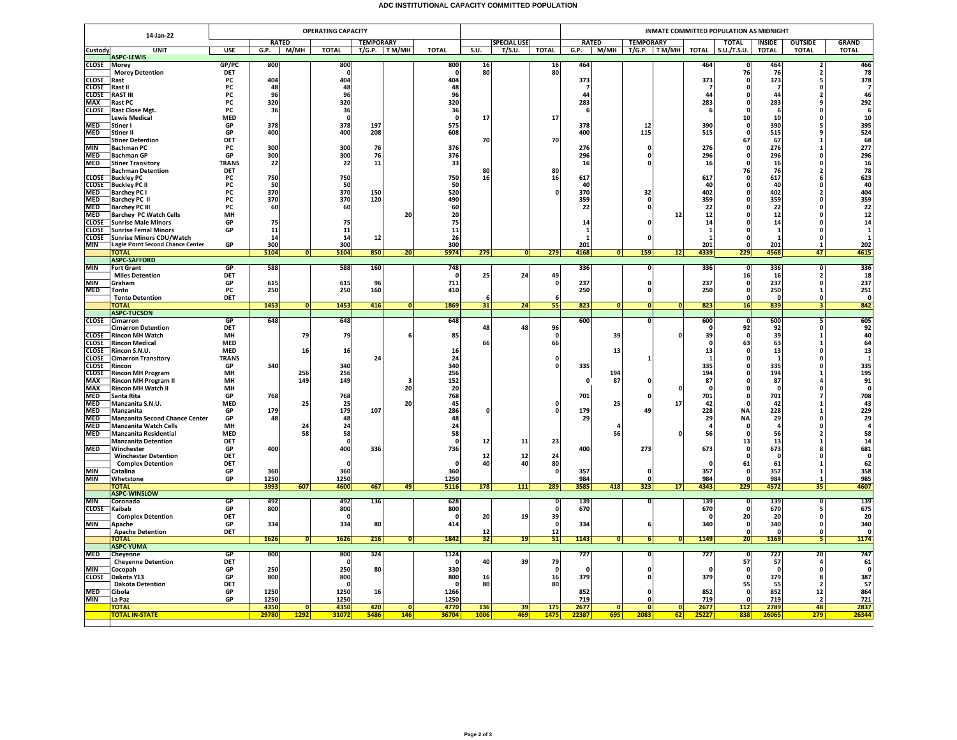## **ADC INSTITUTIONAL CAPACITY COMMITTED POPULATION**

|                              | <b>OPERATING CAPACITY</b><br>14-Jan-22                      |                          |              |                         |                   |                  |                |                 |              |                    |                 | INMATE COMMITTED POPULATION AS MIDNIGHT |                         |                         |                         |             |                   |                |                                |                       |  |  |
|------------------------------|-------------------------------------------------------------|--------------------------|--------------|-------------------------|-------------------|------------------|----------------|-----------------|--------------|--------------------|-----------------|-----------------------------------------|-------------------------|-------------------------|-------------------------|-------------|-------------------|----------------|--------------------------------|-----------------------|--|--|
|                              |                                                             |                          |              | <b>RATED</b>            |                   | <b>TEMPORARY</b> |                |                 |              | <b>SPECIAL USE</b> |                 | <b>RATED</b>                            |                         | <b>TEMPORARY</b>        |                         |             | <b>TOTAL</b>      | <b>INSIDE</b>  | <b>OUTSIDE</b>                 | <b>GRAND</b>          |  |  |
| Custody                      | <b>UNIT</b><br><b>ASPC-LEWIS</b>                            | <b>USE</b>               | G.P.         | M/MH                    | <b>TOTAL</b>      |                  | $T/G.P.$ TM/MH | <b>TOTAL</b>    | S.U.         | T/S.U.             | <b>TOTAL</b>    | G.P.                                    |                         |                         | M/MH T/G.P. TM/MH TOTAL |             | <b>S.U./T.S.U</b> | <b>TOTAL</b>   | <b>TOTAL</b>                   | <b>TOTAL</b>          |  |  |
| <b>CLOSE</b>                 | <b>Morey</b>                                                | GP/PC                    | 800          |                         | 800               |                  |                | 800             | 16           |                    | $\frac{16}{80}$ | 464                                     |                         |                         |                         | 464         |                   | 464            | $\overline{\mathbf{z}}$        | 466<br>78             |  |  |
|                              | <b>Morey Detention</b>                                      | DET                      |              |                         | 0                 |                  |                |                 | 80           |                    |                 |                                         |                         |                         |                         |             | 76                | 76             |                                |                       |  |  |
| <b>CLOSE</b><br><b>CLOSE</b> | Rast<br>Rast II                                             | PC<br>PC                 | 404<br>48    |                         | 404<br>48         |                  |                | 404<br>48       |              |                    |                 | 373<br>- 7                              |                         |                         |                         | 373         | n<br>0            | 373<br>-7      | O                              | 378<br>$\overline{7}$ |  |  |
| <b>CLOSE</b>                 | <b>RAST III</b>                                             | PC                       | 96           |                         | 96                |                  |                | 96              |              |                    |                 | 44                                      |                         |                         |                         | 44          | 0                 | 44             |                                | 46                    |  |  |
| <b>MAX</b>                   | Rast PC                                                     | PC                       | 320          |                         | 320               |                  |                | 320             |              |                    |                 | 283                                     |                         |                         |                         | 283         | 0                 | 283            |                                | 292                   |  |  |
| <b>CLOSE</b>                 | <b>Rast Close Mgt.</b><br><b>Lewis Medical</b>              | <b>PC</b><br><b>MED</b>  | 36           |                         | 36<br>$\mathbf 0$ |                  |                | 36<br>$\Omega$  | 17           |                    | 17              | -6                                      |                         |                         |                         |             | $\Omega$<br>10    | -6<br>10       | O                              | - 6<br>10             |  |  |
| <b>MED</b>                   | Stiner I                                                    | GP                       | 378          |                         | 378               | 197              |                | 575             |              |                    |                 | 378                                     |                         | 12                      |                         | 390         | 0                 | 390            |                                | 395                   |  |  |
| <b>MED</b>                   | <b>Stiner II</b>                                            | GP                       | 400          |                         | 400               | 208              |                | 608             |              |                    |                 | 400                                     |                         | 115                     |                         | 515         | $\Omega$          | 515            |                                | 524                   |  |  |
|                              | <b>Stiner Detention</b>                                     | DET                      |              |                         |                   |                  |                |                 | 70           |                    | 70              |                                         |                         |                         |                         |             | 67                | 67             | -1                             | 68                    |  |  |
| <b>MIN</b><br><b>MED</b>     | <b>Bachman PC</b><br><b>Bachman GP</b>                      | PC<br>GP                 | 300<br>300   |                         | 300<br>300        | 76<br>76         |                | 376<br>376      |              |                    |                 | 276<br>296                              |                         | $\mathbf{0}$<br>0       |                         | 276<br>296  | n                 | 276<br>296     |                                | 277<br>296            |  |  |
| <b>MED</b>                   | <b>Stiner Transitory</b>                                    | <b>TRANS</b>             | 22           |                         | 22                | 11               |                | 33              |              |                    |                 | 16                                      |                         | $\sqrt{2}$              |                         | 16          | n                 | 16             | O                              | 16                    |  |  |
|                              | <b>Bachman Detention</b>                                    | <b>DET</b>               |              |                         |                   |                  |                |                 | 80           |                    | 80              |                                         |                         |                         |                         |             | 76                | 76             | 2                              | 78                    |  |  |
| <b>CLOSE</b><br><b>CLOSE</b> | <b>Buckley PC</b><br><b>Buckley PC II</b>                   | PC<br>PC                 | 750<br>50    |                         | 750<br>50         |                  |                | 750<br>50       | 16           |                    | 16              | 617<br>40                               |                         |                         |                         | 617<br>40   | O                 | 617<br>40      | O                              | 623<br>40             |  |  |
| <b>MED</b>                   | <b>Barchey PC I</b>                                         | PC                       | 370          |                         | 370               | 150              |                | 520             |              |                    |                 | 370                                     |                         | 32                      |                         | 402         | O                 | 402            | $\overline{\phantom{a}}$       | 404<br>359            |  |  |
| <b>MED</b>                   | Barchey PC II                                               | PC                       | 370          |                         | 370               | 120              |                | 490             |              |                    |                 | 359                                     |                         | $\mathbf 0$             |                         | 359         |                   | 359            |                                |                       |  |  |
| <b>MED</b><br><b>MED</b>     | <b>Barchey PC III</b>                                       | <b>PC</b><br>MH          | 60           |                         | 60                |                  | 20             | 60<br>20        |              |                    |                 | 22                                      |                         | $\mathbf{0}$            | 12                      | 22<br>12    |                   | 22<br>12       | n                              | 22<br>12              |  |  |
| <b>CLOSE</b>                 | <b>Barchey PC Watch Cells</b><br><b>Sunrise Male Minors</b> | GP                       | 75           |                         | 75                |                  |                | 75              |              |                    |                 | 14                                      |                         |                         |                         | 14          |                   | 14             |                                | 14                    |  |  |
| <b>CLOSE</b>                 | <b>Sunrise Femal Minors</b>                                 | GP                       | 11           |                         | 11                |                  |                | 11              |              |                    |                 | $\mathbf{1}$                            |                         |                         |                         |             |                   |                |                                | $\mathbf{1}$          |  |  |
| <b>CLOSE</b>                 | <b>Sunrise Minors CDU/Watch</b>                             |                          | 14           |                         | 14                | 12               |                | 26              |              |                    |                 | $\mathbf{1}$                            |                         | $\Omega$                |                         |             | O                 | $\mathbf{1}$   | $\Omega$                       | $\mathbf{1}$          |  |  |
| <b>MIN</b>                   | <b>Eagle Point Second Chance Center</b><br><b>TOTAL</b>     | GP                       | 300<br>5104  | $\overline{0}$          | 300<br>5104       | 850              | 20             | 300<br>5974     | 279          | 0                  | 279             | 201<br>4168                             | $\overline{\bullet}$    | 159                     | 12                      | 201<br>4339 | 229               | 201<br>4568    | 47                             | 202<br>4615           |  |  |
|                              | <b>ASPC-SAFFORD</b>                                         |                          |              |                         |                   |                  |                |                 |              |                    |                 |                                         |                         |                         |                         |             |                   |                |                                |                       |  |  |
| <b>MIN</b>                   | <b>Fort Grant</b>                                           | GP                       | 588          |                         | 588               | 160              |                | 748             |              |                    |                 | 336                                     |                         | $\overline{0}$          |                         | 336         | - 0               | 336            | $\Omega$                       | 336                   |  |  |
| <b>MIN</b>                   | <b>Miles Detention</b><br>Graham                            | <b>DET</b><br>GP         | 615          |                         | 615               | 96               |                | 711             | 25           | 24                 | 49              | 237                                     |                         | $\mathbf 0$             |                         | 237         | 16<br>0           | 16<br>237      | $\overline{2}$<br>0            | 18<br>237             |  |  |
| <b>MED</b>                   | Tonto                                                       | PC                       | 250          |                         | 250               | 160              |                | 410             |              |                    |                 | 250                                     |                         | $\Omega$                |                         | 250         | $\Omega$          | 250            | $\mathbf{1}$                   | 251                   |  |  |
|                              | <b>Tonto Detention</b>                                      | DET                      |              |                         |                   |                  |                |                 | -6           |                    |                 |                                         |                         |                         |                         |             | $\Omega$          | $\Omega$       | $\Omega$                       | $\Omega$              |  |  |
|                              | <b>TOTAL</b><br><b>ASPC-TUCSON</b>                          |                          | 1453         | 0                       | 1453              | 416              | 0              | 1869            | 31           | 24                 | 55              | 823                                     | ō                       | ō                       | 0                       | 823         | 16                | 839            | 3                              | 842                   |  |  |
| <b>CLOSE</b>                 | Cimarron                                                    | GP                       | 648          |                         | 648               |                  |                | 648             |              |                    |                 | 600                                     |                         | $\Omega$                |                         | 600         | $\Omega$          | 600            |                                | 605                   |  |  |
|                              | <b>Cimarron Detention</b>                                   | <b>DET</b>               |              |                         |                   |                  |                |                 | 48           | 48                 | 96              |                                         |                         |                         |                         |             | 92                | 92             | O                              | 92                    |  |  |
| <b>CLOSE</b><br><b>CLOSE</b> | <b>Rincon MH Watch</b><br><b>Rincon Medical</b>             | MH<br><b>MED</b>         |              | 79                      | 79                |                  |                | 85              | 66           |                    | 0<br>66         |                                         | 39                      |                         | 0                       | 39          | 63                | 39<br>63       |                                | 40<br>64              |  |  |
| <b>CLOSE</b>                 | Rincon S.N.U.                                               | <b>MFD</b>               |              | 16                      | 16                |                  |                | 16              |              |                    |                 |                                         | 13                      |                         |                         | 13          | - 0               | 13             | $\Omega$                       | 13                    |  |  |
| <b>CLOSE</b>                 | <b>Cimarron Transitory</b>                                  | <b>TRANS</b>             |              |                         |                   | 24               |                | 24              |              |                    |                 |                                         |                         | $\mathbf{1}$            |                         |             | O                 | -1             | $\Omega$                       | $\mathbf{1}$          |  |  |
| <b>CLOSE</b><br><b>CLOSE</b> | Rincon<br><b>Rincon MH Program</b>                          | GP<br>MH                 | 340          | 256                     | 340<br>256        |                  |                | 340<br>256      |              |                    |                 | 335                                     | 194                     |                         |                         | 335<br>194  | 0                 | 335<br>194     |                                | 335<br>195            |  |  |
| <b>MAX</b>                   | <b>Rincon MH Program II</b>                                 | MH                       |              | 149                     | 149               |                  | з              | 152             |              |                    |                 | $\Omega$                                | 87                      | $\Omega$                |                         | 87          | 0                 | 87             |                                | 91                    |  |  |
| MAX                          | <b>Rincon MH Watch II</b>                                   | MH                       |              |                         |                   |                  | 20             | 20              |              |                    |                 |                                         |                         |                         | 0                       |             |                   | 0              |                                | $\mathbf{0}$          |  |  |
| <b>MED</b>                   | Santa Rita                                                  | GP                       | 768          |                         | 768               |                  |                | 768             |              |                    |                 | 701                                     |                         |                         |                         | 701         |                   | 701            |                                | 708                   |  |  |
| <b>MED</b><br><b>MED</b>     | Manzanita S.N.U.<br>Manzanita                               | <b>MED</b><br>GP         | 179          | 25                      | 25<br>179         | 107              | 20             | 45<br>286       | <sup>o</sup> |                    |                 | 179                                     | 25                      | 49                      | 17                      | 42<br>228   | <b>NA</b>         | 42<br>228      |                                | 43<br>229             |  |  |
| MED                          | <b>Manzanita Second Chance Center</b>                       | GP                       | 48           |                         | 48                |                  |                | 48              |              |                    |                 | 29                                      |                         |                         |                         | 29          | <b>NA</b>         | 29             |                                | 29                    |  |  |
| <b>MED</b>                   | <b>Manzanita Watch Cells</b>                                | MH                       |              | 24                      | 24                |                  |                | 24              |              |                    |                 |                                         | 4                       |                         |                         |             |                   |                |                                | $\overline{a}$        |  |  |
| <b>MED</b>                   | <b>Manzanita Residential</b><br><b>Manzanita Detention</b>  | <b>MED</b><br><b>DET</b> |              | 58                      | 58<br>$\mathbf 0$ |                  |                | 58              | 12           | 11                 | 23              |                                         | 56                      |                         |                         | 56          | n<br>13           | 56<br>13       |                                | 58<br>14              |  |  |
| <b>MED</b>                   | Winchester                                                  | GP                       | 400          |                         | 400               | 336              |                | 736             |              |                    |                 | 400                                     |                         | 273                     |                         | 673         | 0                 | 673            |                                | 681                   |  |  |
|                              | <b>Winchester Detention</b>                                 | DET                      |              |                         |                   |                  |                |                 | 12           | 12                 | 24              |                                         |                         |                         |                         |             | $\Omega$          | $\Omega$       |                                | $\Omega$              |  |  |
| <b>MIN</b>                   | <b>Complex Detention</b><br>Catalina                        | DFT<br>GP                | 360          |                         | - 0<br>360        |                  |                | $\Omega$<br>360 | 40           | 40                 | 80              | 357                                     |                         | $\mathbf{0}$            |                         | 357         | 61                | 61<br>357      | $\mathbf{1}$                   | 62<br>358             |  |  |
| <b>MIN</b>                   | Whetstone                                                   | GP                       | 1250         |                         | 1250              |                  |                | 1250            |              |                    |                 | 984                                     |                         | $\mathbf 0$             |                         | 984         |                   | 984            |                                | 985                   |  |  |
|                              | <b>TOTAL</b>                                                |                          | 3993         | 607                     | 4600              | 467              | 49             | 5116            | 178          | <b>111</b>         | 289             | 3585                                    | 418                     | 323                     | 17                      | 4343        | 229               | 4572           | 35                             | 4607                  |  |  |
| <b>MIN</b>                   | <b>ASPC-WINSLOW</b><br>Coronado                             | GP                       | 492          |                         | 492               | 136              |                | 628             |              |                    |                 | 139                                     |                         | $\overline{0}$          |                         | 139         |                   | 139            | Ō                              | 139                   |  |  |
| <b>CLOSE</b>                 | Kaibab                                                      | GP                       | 800          |                         | 800               |                  |                | 800             |              |                    |                 | 670                                     |                         |                         |                         | 670         |                   | 670            |                                | 675                   |  |  |
|                              | <b>Complex Detention</b>                                    | <b>DET</b>               |              |                         | $\Omega$          |                  |                | - 0             | 20           | 19                 | 39              |                                         |                         |                         |                         | - 0         | 20                | 20             | $\Omega$                       | 20                    |  |  |
| MIN                          | Apache                                                      | GP                       | 334          |                         | 334               | 80               |                | 414             |              |                    | - 0             | 334                                     |                         | 6                       |                         | 340         | o                 | 340            | $\Omega$                       | 340<br>$\mathbf{0}$   |  |  |
|                              | <b>Apache Detention</b><br><b>TOTAL</b>                     | <b>DET</b>               | 1626         | $\overline{0}$          | 1626              | 216              | 0              | 1842            | 12<br>32     | 19                 | 12<br>51        | 1143                                    | 0                       | 6                       | 0                       | 1149        | 20                | 0<br>1169      | $\Omega$<br>5 <sub>l</sub>     | 1174                  |  |  |
|                              | <b>ASPC-YUMA</b>                                            |                          |              |                         |                   |                  |                |                 |              |                    |                 |                                         |                         |                         |                         |             |                   |                |                                |                       |  |  |
| <b>MED</b>                   | Cheyenne                                                    | <b>GP</b>                | 800          |                         | 800               | 324              |                | 1124            |              |                    |                 | 727                                     |                         | $\overline{\mathbf{0}}$ |                         | 727         | - 0               | 727            | 20                             | 747                   |  |  |
| <b>MIN</b>                   | <b>Cheyenne Detention</b><br>Cocopah                        | DET<br>GP                | 250          |                         | 0<br>250          | 80               |                | 330             | 40           | 39                 | 79<br>$\Omega$  | $\mathbf{r}$                            |                         | $\mathbf{0}$            |                         | $\sqrt{2}$  | 57<br>0           | 57<br>$\Omega$ | $\Omega$                       | 61<br>$\Omega$        |  |  |
| <b>CLOSE</b>                 | Dakota Y13                                                  | GP                       | 800          |                         | 800               |                  |                | 800             | 16           |                    | 16              | 379                                     |                         | $\Omega$                |                         | 379         | $\Omega$          | 379            | я                              | 387                   |  |  |
|                              | <b>Dakota Detention</b>                                     | DET                      |              |                         | 0                 |                  |                |                 | 80           |                    | 80              |                                         |                         |                         |                         |             | 55                | 55             |                                | 57                    |  |  |
| <b>MED</b><br><b>MIN</b>     | Cibola<br>La Paz                                            | GP<br>GP                 | 1250<br>1250 |                         | 1250<br>1250      | 16               |                | 1266<br>1250    |              |                    |                 | 852<br>719                              |                         | $\Omega$                |                         | 852<br>719  |                   | 852<br>719     | 12<br>$\overline{\phantom{a}}$ | 864<br>721            |  |  |
|                              | <b>TOTAL</b>                                                |                          | 4350         | $\overline{\mathbf{0}}$ | 4350              | 420              | $\overline{0}$ | 4770            | 136          | 39                 | 175             | 2677                                    | $\overline{\mathbf{0}}$ | $\overline{0}$          | $\overline{0}$          | 2677        | 112               | 2789           | 48                             | 2837                  |  |  |
|                              | <b>TOTAL IN-STATE</b>                                       |                          | 29780        | 1292                    | 31072             | 5486             | 146            | 36704           | 1006         | 469                | 1475            | 22387                                   | 695                     | 2083                    | 62                      | 25227       | 838               | 2606           | 279                            | 26344                 |  |  |
|                              |                                                             |                          |              |                         |                   |                  |                |                 |              |                    |                 |                                         |                         |                         |                         |             |                   |                |                                |                       |  |  |